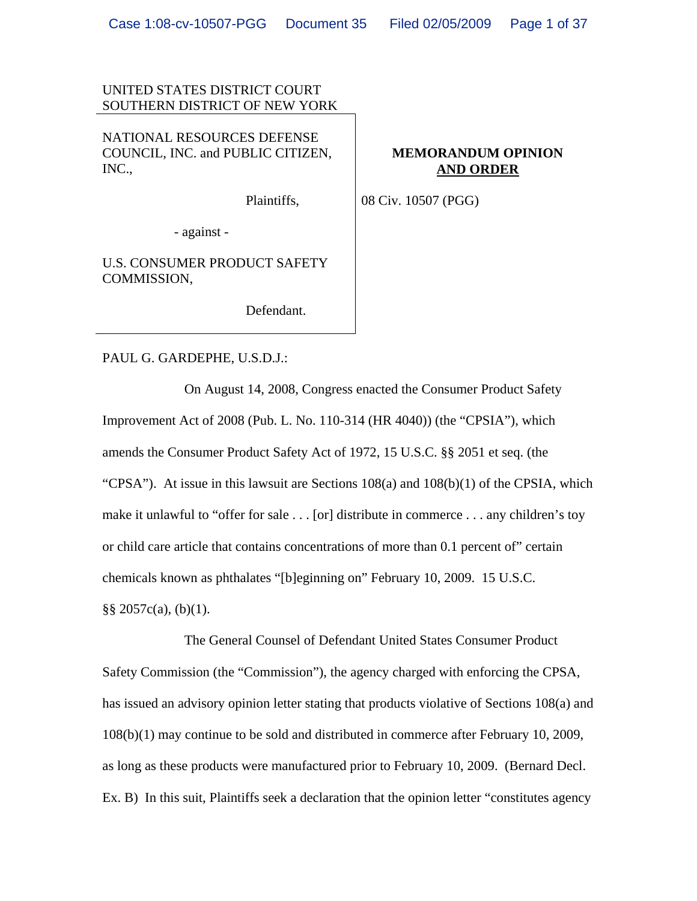### UNITED STATES DISTRICT COURT SOUTHERN DISTRICT OF NEW YORK

NATIONAL RESOURCES DEFENSE COUNCIL, INC. and PUBLIC CITIZEN, INC.,

Plaintiffs,

## **MEMORANDUM OPINION AND ORDER**

08 Civ. 10507 (PGG)

- against -

U.S. CONSUMER PRODUCT SAFETY COMMISSION,

Defendant.

#### PAUL G. GARDEPHE, U.S.D.J.:

On August 14, 2008, Congress enacted the Consumer Product Safety Improvement Act of 2008 (Pub. L. No. 110-314 (HR 4040)) (the "CPSIA"), which amends the Consumer Product Safety Act of 1972, 15 U.S.C. §§ 2051 et seq. (the "CPSA"). At issue in this lawsuit are Sections  $108(a)$  and  $108(b)(1)$  of the CPSIA, which make it unlawful to "offer for sale . . . [or] distribute in commerce . . . any children's toy or child care article that contains concentrations of more than 0.1 percent of" certain chemicals known as phthalates "[b]eginning on" February 10, 2009. 15 U.S.C.  $\S$ § 2057c(a), (b)(1).

The General Counsel of Defendant United States Consumer Product Safety Commission (the "Commission"), the agency charged with enforcing the CPSA, has issued an advisory opinion letter stating that products violative of Sections 108(a) and 108(b)(1) may continue to be sold and distributed in commerce after February 10, 2009, as long as these products were manufactured prior to February 10, 2009. (Bernard Decl. Ex. B) In this suit, Plaintiffs seek a declaration that the opinion letter "constitutes agency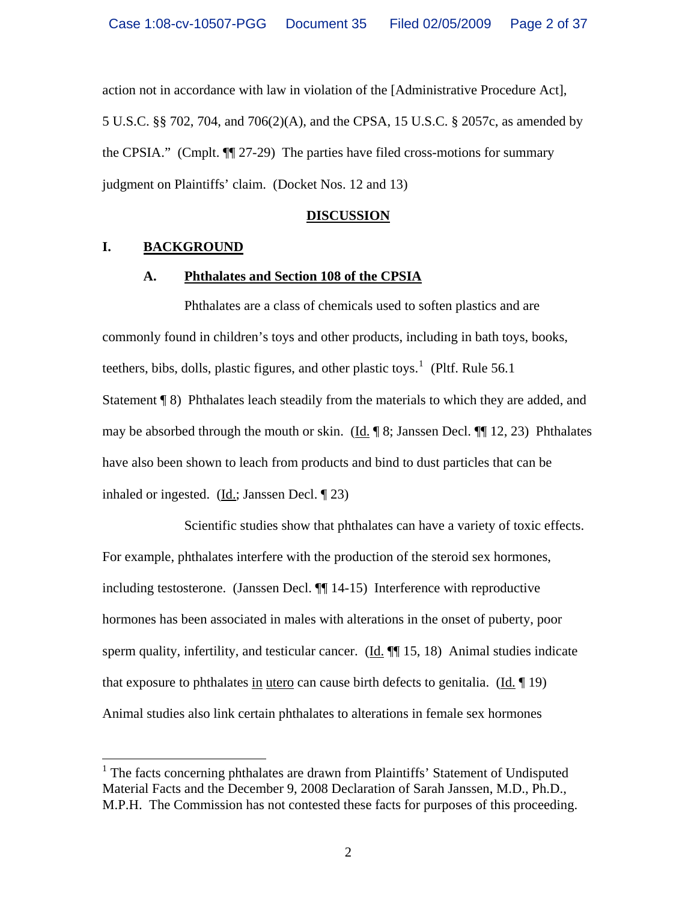action not in accordance with law in violation of the [Administrative Procedure Act], 5 U.S.C. §§ 702, 704, and 706(2)(A), and the CPSA, 15 U.S.C. § 2057c, as amended by the CPSIA." (Cmplt. ¶¶ 27-29) The parties have filed cross-motions for summary judgment on Plaintiffs' claim. (Docket Nos. 12 and 13)

### **DISCUSSION**

# **I. BACKGROUND**

 $\overline{a}$ 

### **A. Phthalates and Section 108 of the CPSIA**

Phthalates are a class of chemicals used to soften plastics and are commonly found in children's toys and other products, including in bath toys, books, teethers, bibs, dolls, plastic figures, and other plastic toys.<sup>[1](#page-1-0)</sup> (Pltf. Rule 56.1) Statement ¶ 8) Phthalates leach steadily from the materials to which they are added, and may be absorbed through the mouth or skin. (Id.  $\parallel$  8; Janssen Decl.  $\parallel$  12, 23) Phthalates have also been shown to leach from products and bind to dust particles that can be inhaled or ingested. (Id.; Janssen Decl. ¶ 23)

Scientific studies show that phthalates can have a variety of toxic effects. For example, phthalates interfere with the production of the steroid sex hormones, including testosterone. (Janssen Decl. ¶¶ 14-15) Interference with reproductive hormones has been associated in males with alterations in the onset of puberty, poor sperm quality, infertility, and testicular cancer. (Id.  $\P$  15, 18) Animal studies indicate that exposure to phthalates in utero can cause birth defects to genitalia. (Id. ¶ 19) Animal studies also link certain phthalates to alterations in female sex hormones

<span id="page-1-0"></span><sup>&</sup>lt;sup>1</sup> The facts concerning phthalates are drawn from Plaintiffs' Statement of Undisputed Material Facts and the December 9, 2008 Declaration of Sarah Janssen, M.D., Ph.D., M.P.H. The Commission has not contested these facts for purposes of this proceeding.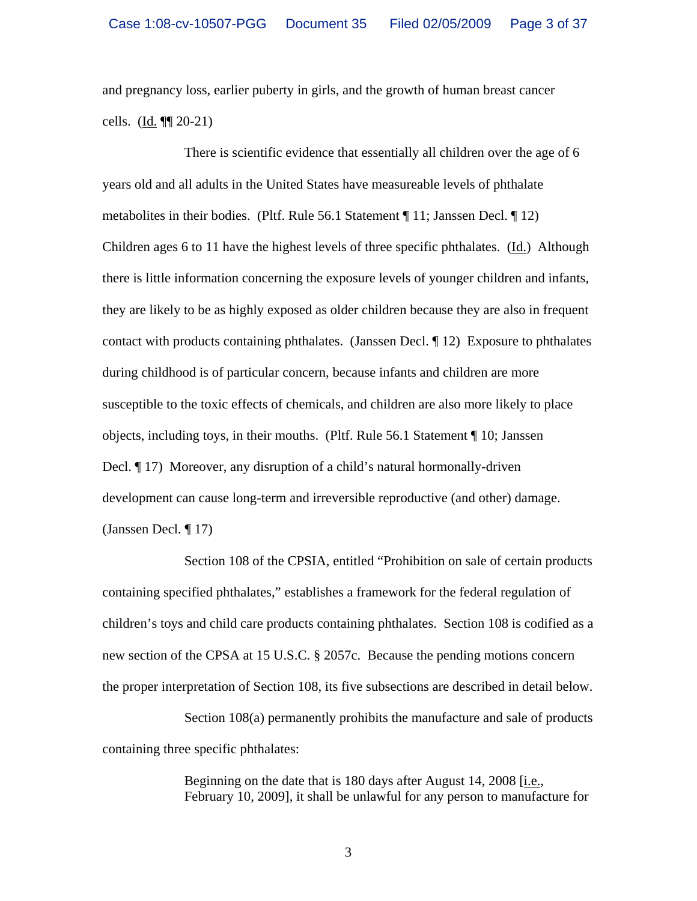and pregnancy loss, earlier puberty in girls, and the growth of human breast cancer cells. (Id. ¶¶ 20-21)

There is scientific evidence that essentially all children over the age of 6 years old and all adults in the United States have measureable levels of phthalate metabolites in their bodies. (Pltf. Rule 56.1 Statement  $\P$  11; Janssen Decl.  $\P$  12) Children ages 6 to 11 have the highest levels of three specific phthalates. (Id.) Although there is little information concerning the exposure levels of younger children and infants, they are likely to be as highly exposed as older children because they are also in frequent contact with products containing phthalates. (Janssen Decl. ¶ 12) Exposure to phthalates during childhood is of particular concern, because infants and children are more susceptible to the toxic effects of chemicals, and children are also more likely to place objects, including toys, in their mouths. (Pltf. Rule 56.1 Statement ¶ 10; Janssen Decl. ¶ 17) Moreover, any disruption of a child's natural hormonally-driven development can cause long-term and irreversible reproductive (and other) damage. (Janssen Decl. ¶ 17)

Section 108 of the CPSIA, entitled "Prohibition on sale of certain products containing specified phthalates," establishes a framework for the federal regulation of children's toys and child care products containing phthalates. Section 108 is codified as a new section of the CPSA at 15 U.S.C. § 2057c. Because the pending motions concern the proper interpretation of Section 108, its five subsections are described in detail below.

Section 108(a) permanently prohibits the manufacture and sale of products containing three specific phthalates:

> Beginning on the date that is 180 days after August 14, 2008 [i.e., February 10, 2009], it shall be unlawful for any person to manufacture for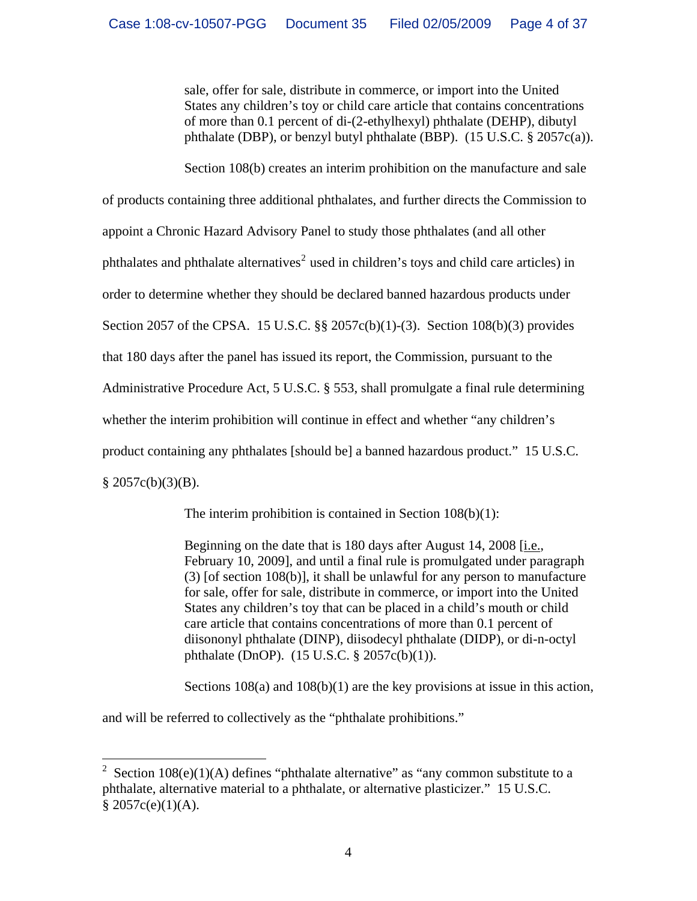sale, offer for sale, distribute in commerce, or import into the United States any children's toy or child care article that contains concentrations of more than 0.1 percent of di-(2-ethylhexyl) phthalate (DEHP), dibutyl phthalate (DBP), or benzyl butyl phthalate (BBP). (15 U.S.C. § 2057c(a)).

Section 108(b) creates an interim prohibition on the manufacture and sale

of products containing three additional phthalates, and further directs the Commission to appoint a Chronic Hazard Advisory Panel to study those phthalates (and all other phthalates and phthalate alternatives<sup>[2](#page-3-0)</sup> used in children's toys and child care articles) in order to determine whether they should be declared banned hazardous products under Section 2057 of the CPSA. 15 U.S.C. §§ 2057c(b)(1)-(3). Section 108(b)(3) provides that 180 days after the panel has issued its report, the Commission, pursuant to the Administrative Procedure Act, 5 U.S.C. § 553, shall promulgate a final rule determining whether the interim prohibition will continue in effect and whether "any children's product containing any phthalates [should be] a banned hazardous product." 15 U.S.C.  $§ 2057c(b)(3)(B).$ 

The interim prohibition is contained in Section 108(b)(1):

Beginning on the date that is 180 days after August 14, 2008 [i.e., February 10, 2009], and until a final rule is promulgated under paragraph (3) [of section 108(b)], it shall be unlawful for any person to manufacture for sale, offer for sale, distribute in commerce, or import into the United States any children's toy that can be placed in a child's mouth or child care article that contains concentrations of more than 0.1 percent of diisononyl phthalate (DINP), diisodecyl phthalate (DIDP), or di-n-octyl phthalate (DnOP). (15 U.S.C. § 2057c(b)(1)).

Sections  $108(a)$  and  $108(b)(1)$  are the key provisions at issue in this action,

and will be referred to collectively as the "phthalate prohibitions."

 $\overline{a}$ 

<span id="page-3-0"></span><sup>2</sup> Section  $108(e)(1)(A)$  defines "phthalate alternative" as "any common substitute to a phthalate, alternative material to a phthalate, or alternative plasticizer." 15 U.S.C.  $$2057c(e)(1)(A).$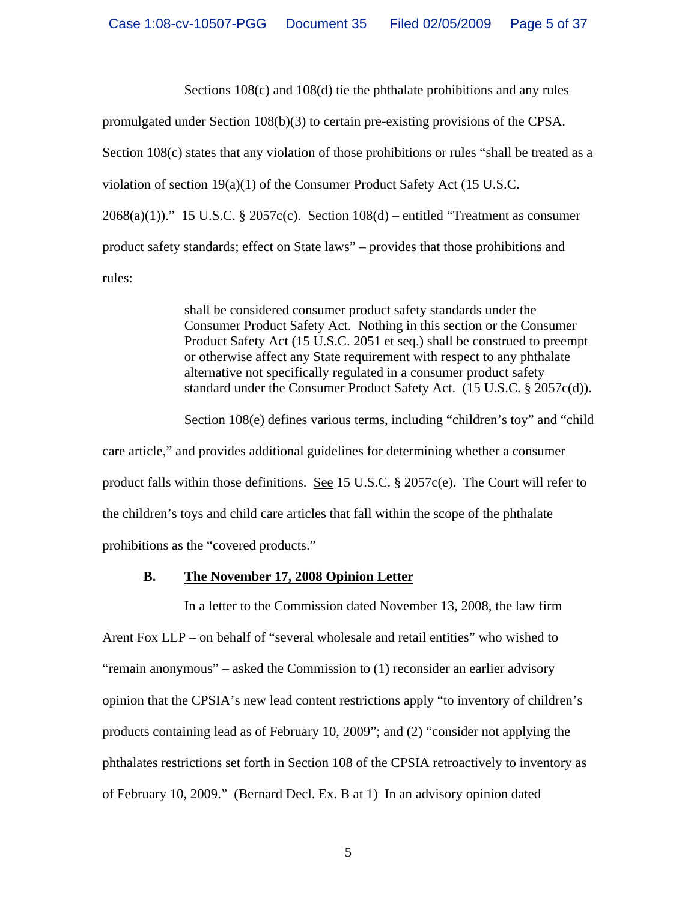Sections 108(c) and 108(d) tie the phthalate prohibitions and any rules

promulgated under Section 108(b)(3) to certain pre-existing provisions of the CPSA.

Section 108(c) states that any violation of those prohibitions or rules "shall be treated as a

violation of section 19(a)(1) of the Consumer Product Safety Act (15 U.S.C.

 $2068(a)(1)$ ." 15 U.S.C. § 2057c(c). Section  $108(d)$  – entitled "Treatment as consumer

product safety standards; effect on State laws" – provides that those prohibitions and

rules:

shall be considered consumer product safety standards under the Consumer Product Safety Act. Nothing in this section or the Consumer Product Safety Act (15 U.S.C. 2051 et seq.) shall be construed to preempt or otherwise affect any State requirement with respect to any phthalate alternative not specifically regulated in a consumer product safety standard under the Consumer Product Safety Act. (15 U.S.C. § 2057c(d)).

Section 108(e) defines various terms, including "children's toy" and "child

care article," and provides additional guidelines for determining whether a consumer product falls within those definitions. See 15 U.S.C.  $\S$  2057c(e). The Court will refer to the children's toys and child care articles that fall within the scope of the phthalate prohibitions as the "covered products."

# **B. The November 17, 2008 Opinion Letter**

In a letter to the Commission dated November 13, 2008, the law firm Arent Fox LLP – on behalf of "several wholesale and retail entities" who wished to "remain anonymous" – asked the Commission to (1) reconsider an earlier advisory opinion that the CPSIA's new lead content restrictions apply "to inventory of children's products containing lead as of February 10, 2009"; and (2) "consider not applying the phthalates restrictions set forth in Section 108 of the CPSIA retroactively to inventory as of February 10, 2009." (Bernard Decl. Ex. B at 1) In an advisory opinion dated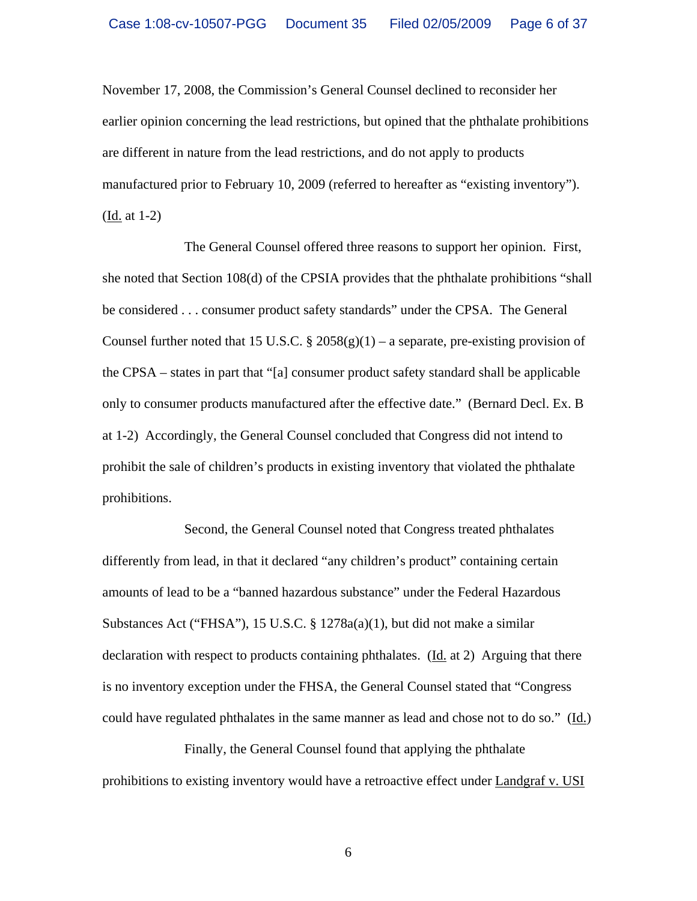November 17, 2008, the Commission's General Counsel declined to reconsider her earlier opinion concerning the lead restrictions, but opined that the phthalate prohibitions are different in nature from the lead restrictions, and do not apply to products manufactured prior to February 10, 2009 (referred to hereafter as "existing inventory"). (Id. at 1-2)

The General Counsel offered three reasons to support her opinion. First, she noted that Section 108(d) of the CPSIA provides that the phthalate prohibitions "shall be considered . . . consumer product safety standards" under the CPSA. The General Counsel further noted that 15 U.S.C.  $\S$  2058(g)(1) – a separate, pre-existing provision of the CPSA – states in part that "[a] consumer product safety standard shall be applicable only to consumer products manufactured after the effective date." (Bernard Decl. Ex. B at 1-2) Accordingly, the General Counsel concluded that Congress did not intend to prohibit the sale of children's products in existing inventory that violated the phthalate prohibitions.

Second, the General Counsel noted that Congress treated phthalates differently from lead, in that it declared "any children's product" containing certain amounts of lead to be a "banned hazardous substance" under the Federal Hazardous Substances Act ("FHSA"), 15 U.S.C. § 1278a(a)(1), but did not make a similar declaration with respect to products containing phthalates.  $(\underline{Id}, \underline{at} 2)$  Arguing that there is no inventory exception under the FHSA, the General Counsel stated that "Congress could have regulated phthalates in the same manner as lead and chose not to do so." (Id.)

Finally, the General Counsel found that applying the phthalate prohibitions to existing inventory would have a retroactive effect under Landgraf v. USI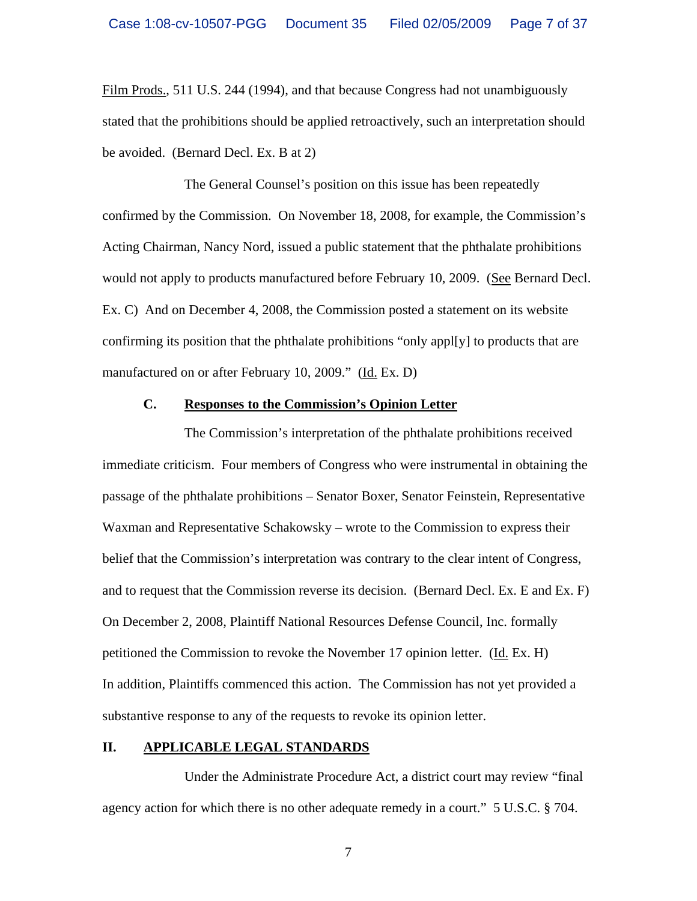Film Prods., 511 U.S. 244 (1994), and that because Congress had not unambiguously stated that the prohibitions should be applied retroactively, such an interpretation should be avoided. (Bernard Decl. Ex. B at 2)

The General Counsel's position on this issue has been repeatedly confirmed by the Commission. On November 18, 2008, for example, the Commission's Acting Chairman, Nancy Nord, issued a public statement that the phthalate prohibitions would not apply to products manufactured before February 10, 2009. (See Bernard Decl. Ex. C) And on December 4, 2008, the Commission posted a statement on its website confirming its position that the phthalate prohibitions "only appl[y] to products that are manufactured on or after February 10, 2009." (Id. Ex. D)

#### **C. Responses to the Commission's Opinion Letter**

The Commission's interpretation of the phthalate prohibitions received immediate criticism. Four members of Congress who were instrumental in obtaining the passage of the phthalate prohibitions – Senator Boxer, Senator Feinstein, Representative Waxman and Representative Schakowsky – wrote to the Commission to express their belief that the Commission's interpretation was contrary to the clear intent of Congress, and to request that the Commission reverse its decision. (Bernard Decl. Ex. E and Ex. F) On December 2, 2008, Plaintiff National Resources Defense Council, Inc. formally petitioned the Commission to revoke the November 17 opinion letter. (Id. Ex. H) In addition, Plaintiffs commenced this action. The Commission has not yet provided a substantive response to any of the requests to revoke its opinion letter.

#### **II. APPLICABLE LEGAL STANDARDS**

Under the Administrate Procedure Act, a district court may review "final agency action for which there is no other adequate remedy in a court." 5 U.S.C. § 704.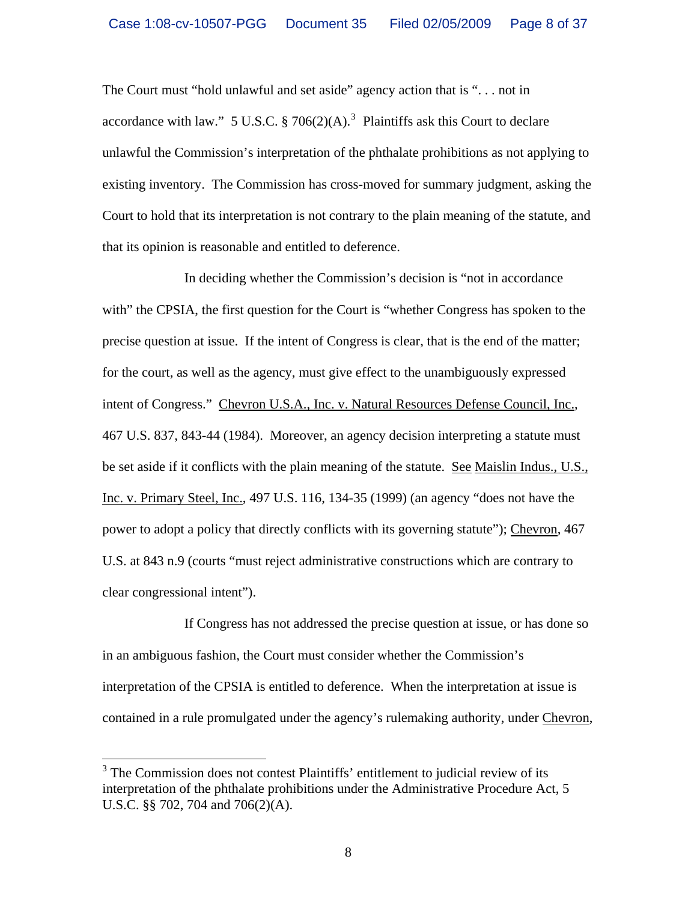The Court must "hold unlawful and set aside" agency action that is ". . . not in accordance with law." 5 U.S.C.  $\S 706(2)(A)$ .<sup>[3](#page-7-0)</sup> Plaintiffs ask this Court to declare unlawful the Commission's interpretation of the phthalate prohibitions as not applying to existing inventory. The Commission has cross-moved for summary judgment, asking the Court to hold that its interpretation is not contrary to the plain meaning of the statute, and that its opinion is reasonable and entitled to deference.

In deciding whether the Commission's decision is "not in accordance with" the CPSIA, the first question for the Court is "whether Congress has spoken to the precise question at issue. If the intent of Congress is clear, that is the end of the matter; for the court, as well as the agency, must give effect to the unambiguously expressed intent of Congress." Chevron U.S.A., Inc. v. Natural Resources Defense Council, Inc., 467 U.S. 837, 843-44 (1984). Moreover, an agency decision interpreting a statute must be set aside if it conflicts with the plain meaning of the statute. See Maislin Indus., U.S., Inc. v. Primary Steel, Inc., 497 U.S. 116, 134-35 (1999) (an agency "does not have the power to adopt a policy that directly conflicts with its governing statute"); Chevron, 467 U.S. at 843 n.9 (courts "must reject administrative constructions which are contrary to clear congressional intent").

If Congress has not addressed the precise question at issue, or has done so in an ambiguous fashion, the Court must consider whether the Commission's interpretation of the CPSIA is entitled to deference. When the interpretation at issue is contained in a rule promulgated under the agency's rulemaking authority, under Chevron,

<span id="page-7-0"></span><sup>&</sup>lt;sup>3</sup> The Commission does not contest Plaintiffs' entitlement to judicial review of its interpretation of the phthalate prohibitions under the Administrative Procedure Act, 5 U.S.C. §§ 702, 704 and 706(2)(A).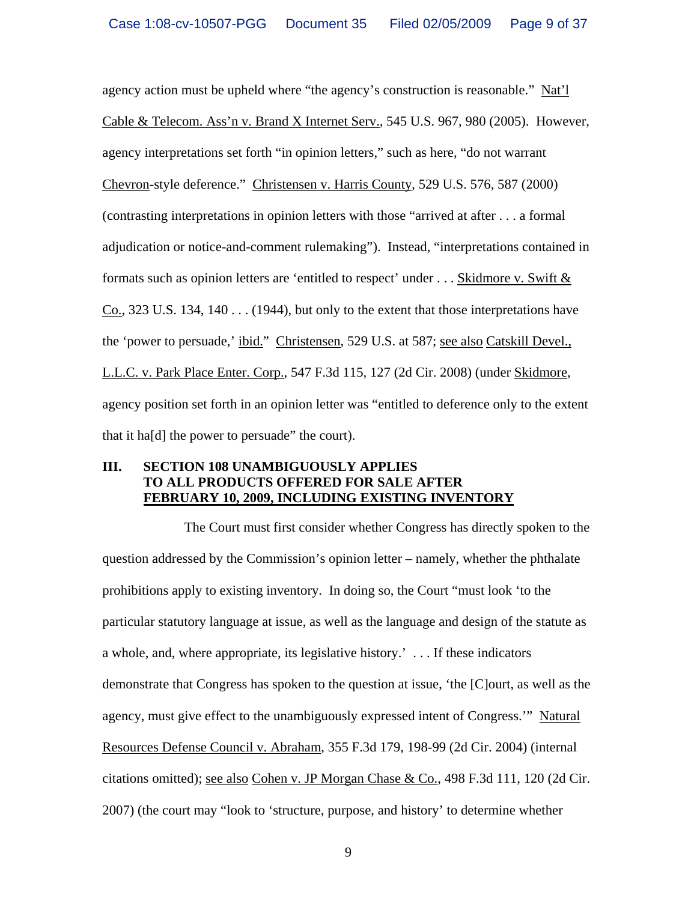agency action must be upheld where "the agency's construction is reasonable." Nat'l Cable & Telecom. Ass'n v. Brand X Internet Serv., 545 U.S. 967, 980 (2005). However, agency interpretations set forth "in opinion letters," such as here, "do not warrant Chevron-style deference." Christensen v. Harris County, 529 U.S. 576, 587 (2000) (contrasting interpretations in opinion letters with those "arrived at after . . . a formal adjudication or notice-and-comment rulemaking"). Instead, "interpretations contained in formats such as opinion letters are 'entitled to respect' under  $\dots$  Skidmore v. Swift  $\&$ Co., 323 U.S. 134, 140  $\dots$  (1944), but only to the extent that those interpretations have the 'power to persuade,' ibid." Christensen, 529 U.S. at 587; see also Catskill Devel., L.L.C. v. Park Place Enter. Corp., 547 F.3d 115, 127 (2d Cir. 2008) (under Skidmore, agency position set forth in an opinion letter was "entitled to deference only to the extent that it ha[d] the power to persuade" the court).

## **III. SECTION 108 UNAMBIGUOUSLY APPLIES TO ALL PRODUCTS OFFERED FOR SALE AFTER FEBRUARY 10, 2009, INCLUDING EXISTING INVENTORY**

The Court must first consider whether Congress has directly spoken to the question addressed by the Commission's opinion letter – namely, whether the phthalate prohibitions apply to existing inventory. In doing so, the Court "must look 'to the particular statutory language at issue, as well as the language and design of the statute as a whole, and, where appropriate, its legislative history.' . . . If these indicators demonstrate that Congress has spoken to the question at issue, 'the [C]ourt, as well as the agency, must give effect to the unambiguously expressed intent of Congress.'" Natural Resources Defense Council v. Abraham, 355 F.3d 179, 198-99 (2d Cir. 2004) (internal citations omitted); see also Cohen v. JP Morgan Chase & Co., 498 F.3d 111, 120 (2d Cir. 2007) (the court may "look to 'structure, purpose, and history' to determine whether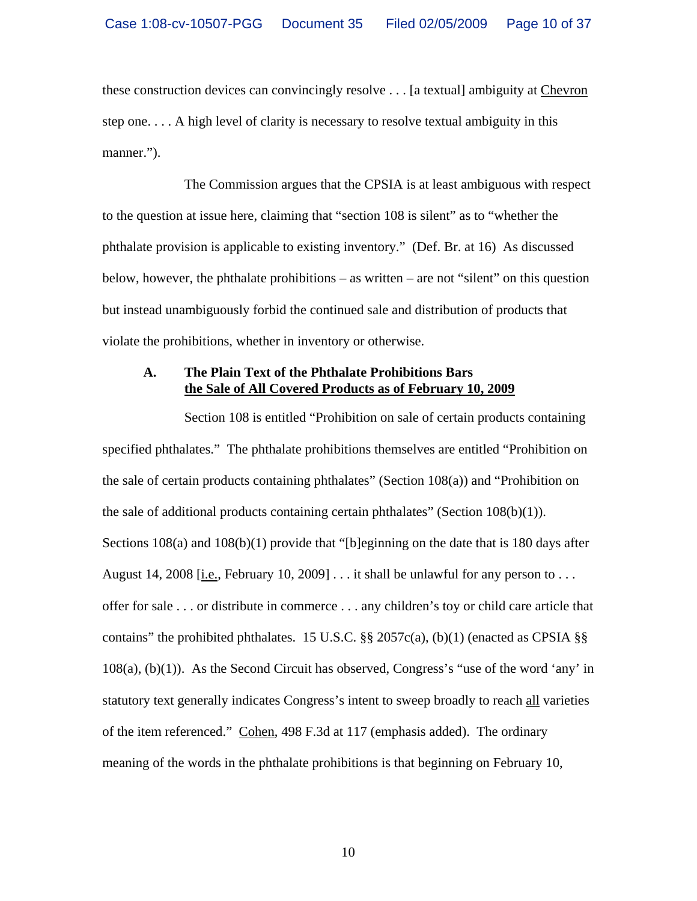these construction devices can convincingly resolve . . . [a textual] ambiguity at Chevron step one. . . . A high level of clarity is necessary to resolve textual ambiguity in this manner.").

The Commission argues that the CPSIA is at least ambiguous with respect to the question at issue here, claiming that "section 108 is silent" as to "whether the phthalate provision is applicable to existing inventory." (Def. Br. at 16) As discussed below, however, the phthalate prohibitions – as written – are not "silent" on this question but instead unambiguously forbid the continued sale and distribution of products that violate the prohibitions, whether in inventory or otherwise.

### **A. The Plain Text of the Phthalate Prohibitions Bars the Sale of All Covered Products as of February 10, 2009**

Section 108 is entitled "Prohibition on sale of certain products containing specified phthalates." The phthalate prohibitions themselves are entitled "Prohibition on the sale of certain products containing phthalates" (Section 108(a)) and "Prohibition on the sale of additional products containing certain phthalates" (Section  $108(b)(1)$ ). Sections 108(a) and 108(b)(1) provide that "[b]eginning on the date that is 180 days after August 14, 2008 [i.e., February 10, 2009]  $\dots$  it shall be unlawful for any person to  $\dots$ offer for sale . . . or distribute in commerce . . . any children's toy or child care article that contains" the prohibited phthalates. 15 U.S.C.  $\S$ § 2057c(a), (b)(1) (enacted as CPSIA  $\S$ § 108(a), (b)(1)). As the Second Circuit has observed, Congress's "use of the word 'any' in statutory text generally indicates Congress's intent to sweep broadly to reach all varieties of the item referenced." Cohen, 498 F.3d at 117 (emphasis added). The ordinary meaning of the words in the phthalate prohibitions is that beginning on February 10,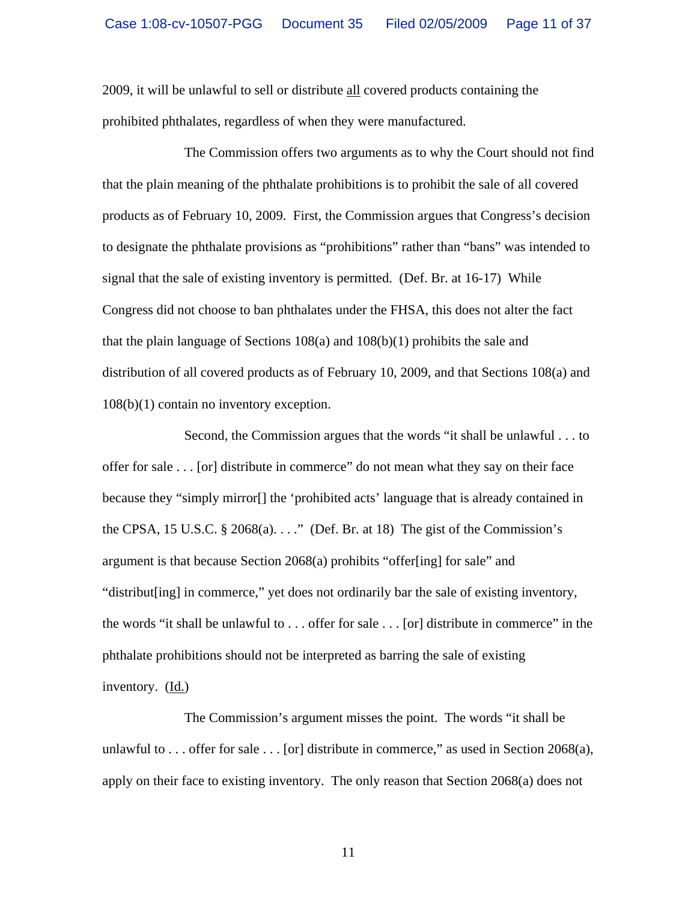2009, it will be unlawful to sell or distribute all covered products containing the prohibited phthalates, regardless of when they were manufactured.

The Commission offers two arguments as to why the Court should not find that the plain meaning of the phthalate prohibitions is to prohibit the sale of all covered products as of February 10, 2009. First, the Commission argues that Congress's decision to designate the phthalate provisions as "prohibitions" rather than "bans" was intended to signal that the sale of existing inventory is permitted. (Def. Br. at 16-17) While Congress did not choose to ban phthalates under the FHSA, this does not alter the fact that the plain language of Sections 108(a) and 108(b)(1) prohibits the sale and distribution of all covered products as of February 10, 2009, and that Sections 108(a) and 108(b)(1) contain no inventory exception.

Second, the Commission argues that the words "it shall be unlawful . . . to offer for sale . . . [or] distribute in commerce" do not mean what they say on their face because they "simply mirror[] the 'prohibited acts' language that is already contained in the CPSA, 15 U.S.C.  $\S 2068(a)$ ...." (Def. Br. at 18) The gist of the Commission's argument is that because Section 2068(a) prohibits "offer[ing] for sale" and "distribut[ing] in commerce," yet does not ordinarily bar the sale of existing inventory, the words "it shall be unlawful to . . . offer for sale . . . [or] distribute in commerce" in the phthalate prohibitions should not be interpreted as barring the sale of existing inventory. (Id.)

The Commission's argument misses the point. The words "it shall be unlawful to ... offer for sale  $\dots$  [or] distribute in commerce," as used in Section 2068(a), apply on their face to existing inventory. The only reason that Section 2068(a) does not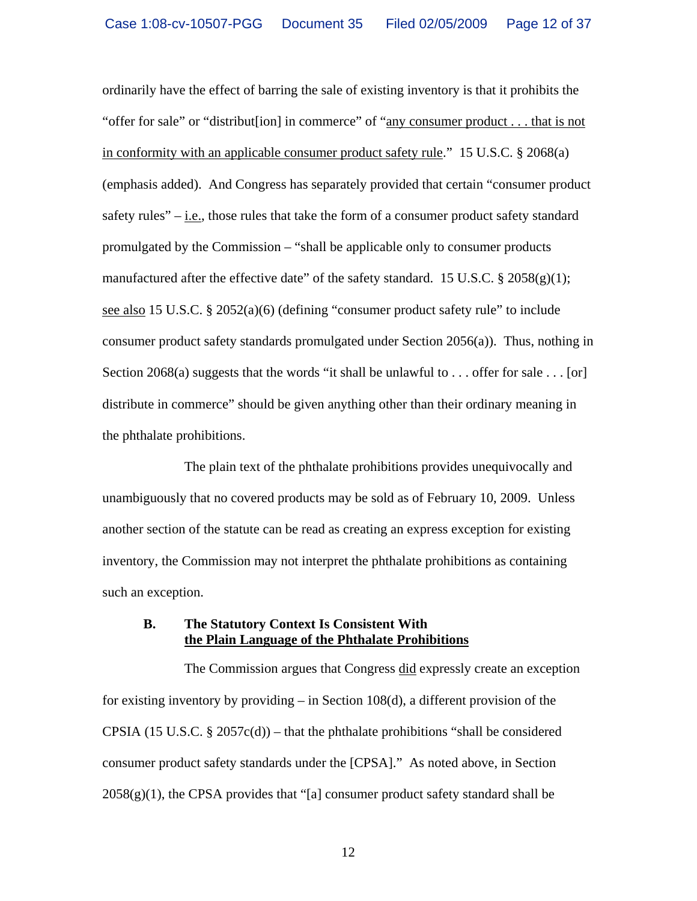ordinarily have the effect of barring the sale of existing inventory is that it prohibits the "offer for sale" or "distribut[ion] in commerce" of "any consumer product . . . that is not in conformity with an applicable consumer product safety rule." 15 U.S.C. § 2068(a) (emphasis added). And Congress has separately provided that certain "consumer product safety rules" – i.e., those rules that take the form of a consumer product safety standard promulgated by the Commission – "shall be applicable only to consumer products manufactured after the effective date" of the safety standard. 15 U.S.C.  $\S 2058(g)(1)$ ; see also 15 U.S.C. § 2052(a)(6) (defining "consumer product safety rule" to include consumer product safety standards promulgated under Section 2056(a)). Thus, nothing in Section 2068(a) suggests that the words "it shall be unlawful to  $\dots$  offer for sale  $\dots$  [or] distribute in commerce" should be given anything other than their ordinary meaning in the phthalate prohibitions.

The plain text of the phthalate prohibitions provides unequivocally and unambiguously that no covered products may be sold as of February 10, 2009. Unless another section of the statute can be read as creating an express exception for existing inventory, the Commission may not interpret the phthalate prohibitions as containing such an exception.

### **B. The Statutory Context Is Consistent With the Plain Language of the Phthalate Prohibitions**

The Commission argues that Congress did expressly create an exception for existing inventory by providing – in Section 108(d), a different provision of the CPSIA (15 U.S.C.  $\S 2057c(d)$ ) – that the phthalate prohibitions "shall be considered consumer product safety standards under the [CPSA]." As noted above, in Section  $2058(g)(1)$ , the CPSA provides that "[a] consumer product safety standard shall be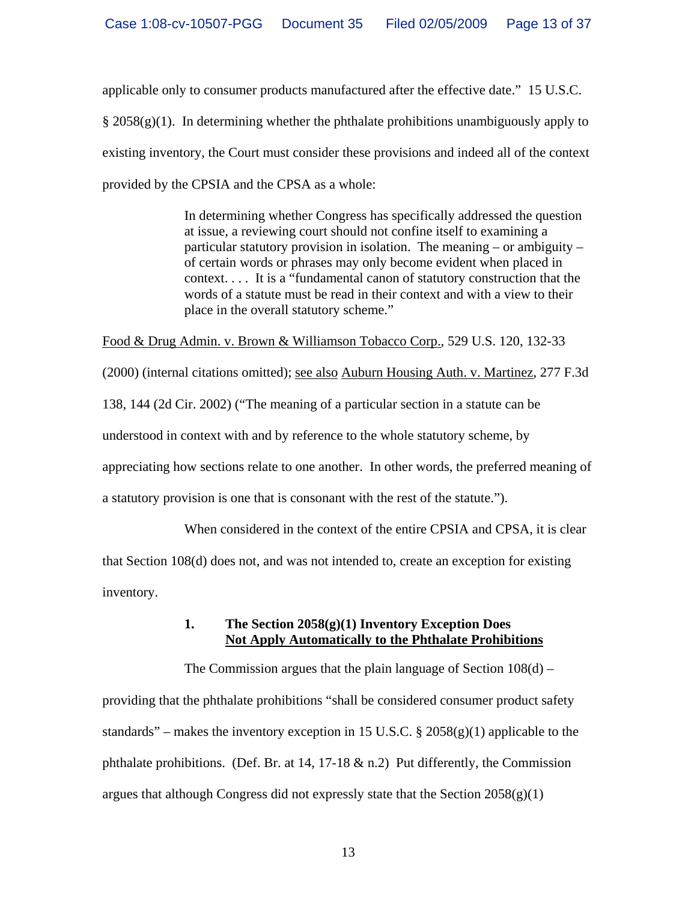applicable only to consumer products manufactured after the effective date." 15 U.S.C.  $\S 2058(g)(1)$ . In determining whether the phthalate prohibitions unambiguously apply to existing inventory, the Court must consider these provisions and indeed all of the context provided by the CPSIA and the CPSA as a whole:

> In determining whether Congress has specifically addressed the question at issue, a reviewing court should not confine itself to examining a particular statutory provision in isolation. The meaning – or ambiguity – of certain words or phrases may only become evident when placed in context. . . . It is a "fundamental canon of statutory construction that the words of a statute must be read in their context and with a view to their place in the overall statutory scheme."

Food & Drug Admin. v. Brown & Williamson Tobacco Corp., 529 U.S. 120, 132-33

(2000) (internal citations omitted); see also Auburn Housing Auth. v. Martinez, 277 F.3d 138, 144 (2d Cir. 2002) ("The meaning of a particular section in a statute can be understood in context with and by reference to the whole statutory scheme, by appreciating how sections relate to one another. In other words, the preferred meaning of a statutory provision is one that is consonant with the rest of the statute.").

When considered in the context of the entire CPSIA and CPSA, it is clear

that Section 108(d) does not, and was not intended to, create an exception for existing inventory.

> **1. The Section 2058(g)(1) Inventory Exception Does Not Apply Automatically to the Phthalate Prohibitions**

The Commission argues that the plain language of Section 108(d) –

providing that the phthalate prohibitions "shall be considered consumer product safety standards" – makes the inventory exception in 15 U.S.C.  $\S 2058(g)(1)$  applicable to the phthalate prohibitions. (Def. Br. at 14, 17-18  $\&$  n.2) Put differently, the Commission argues that although Congress did not expressly state that the Section  $2058(g)(1)$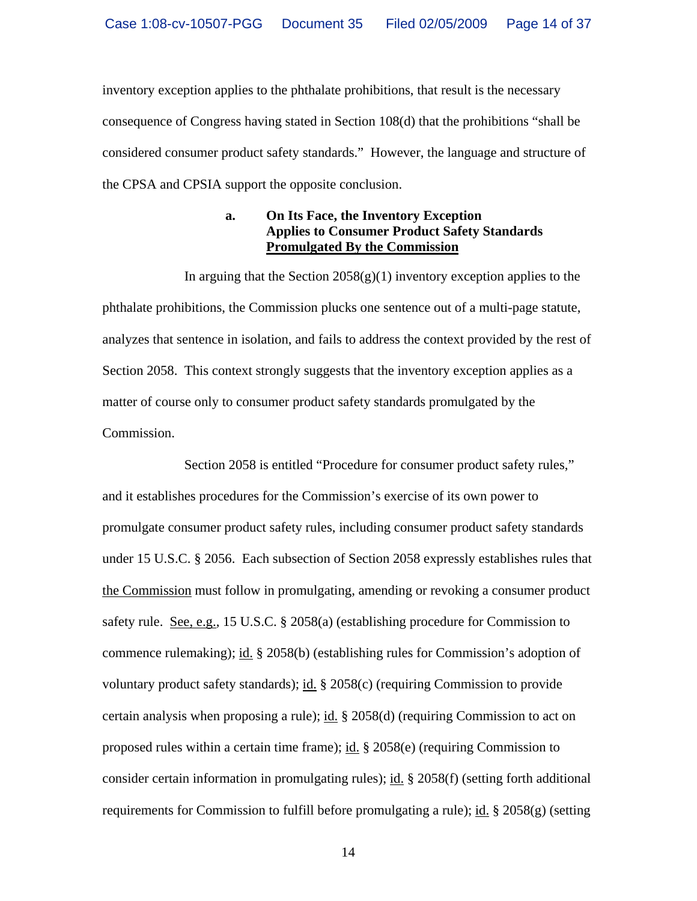inventory exception applies to the phthalate prohibitions, that result is the necessary consequence of Congress having stated in Section 108(d) that the prohibitions "shall be considered consumer product safety standards." However, the language and structure of the CPSA and CPSIA support the opposite conclusion.

## **a. On Its Face, the Inventory Exception Applies to Consumer Product Safety Standards Promulgated By the Commission**

In arguing that the Section  $2058(g)(1)$  inventory exception applies to the phthalate prohibitions, the Commission plucks one sentence out of a multi-page statute, analyzes that sentence in isolation, and fails to address the context provided by the rest of Section 2058. This context strongly suggests that the inventory exception applies as a matter of course only to consumer product safety standards promulgated by the Commission.

Section 2058 is entitled "Procedure for consumer product safety rules," and it establishes procedures for the Commission's exercise of its own power to promulgate consumer product safety rules, including consumer product safety standards under 15 U.S.C. § 2056. Each subsection of Section 2058 expressly establishes rules that the Commission must follow in promulgating, amending or revoking a consumer product safety rule. See, e.g., 15 U.S.C. § 2058(a) (establishing procedure for Commission to commence rulemaking); id. § 2058(b) (establishing rules for Commission's adoption of voluntary product safety standards); id. § 2058(c) (requiring Commission to provide certain analysis when proposing a rule); id. § 2058(d) (requiring Commission to act on proposed rules within a certain time frame); id. § 2058(e) (requiring Commission to consider certain information in promulgating rules); id.  $\S$  2058(f) (setting forth additional requirements for Commission to fulfill before promulgating a rule); id. § 2058(g) (setting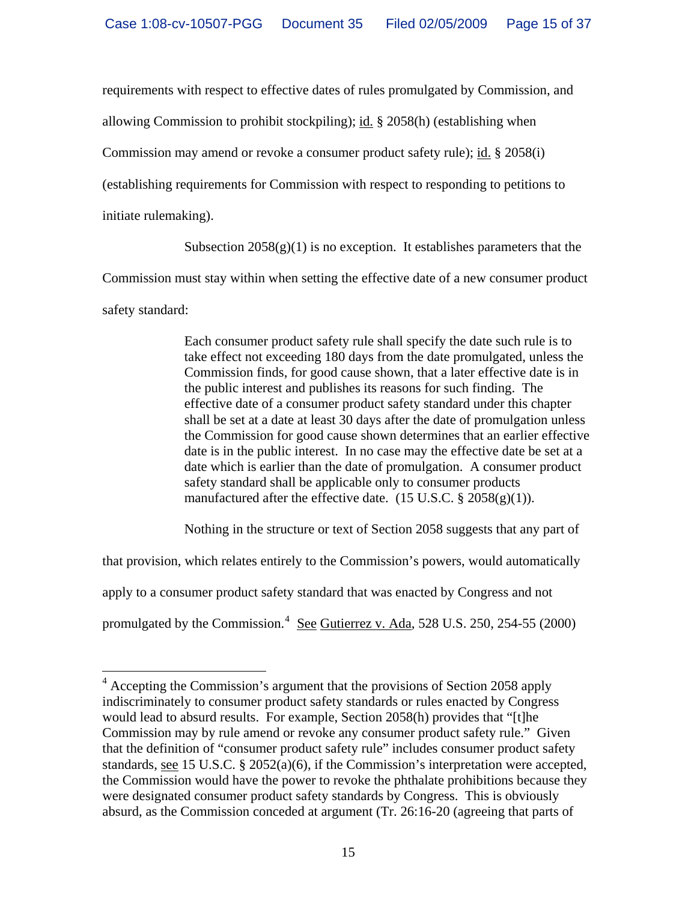requirements with respect to effective dates of rules promulgated by Commission, and

allowing Commission to prohibit stockpiling); id. § 2058(h) (establishing when

Commission may amend or revoke a consumer product safety rule); id. § 2058(i)

(establishing requirements for Commission with respect to responding to petitions to

initiate rulemaking).

Subsection  $2058(g)(1)$  is no exception. It establishes parameters that the

Commission must stay within when setting the effective date of a new consumer product

safety standard:

Each consumer product safety rule shall specify the date such rule is to take effect not exceeding 180 days from the date promulgated, unless the Commission finds, for good cause shown, that a later effective date is in the public interest and publishes its reasons for such finding. The effective date of a consumer product safety standard under this chapter shall be set at a date at least 30 days after the date of promulgation unless the Commission for good cause shown determines that an earlier effective date is in the public interest. In no case may the effective date be set at a date which is earlier than the date of promulgation. A consumer product safety standard shall be applicable only to consumer products manufactured after the effective date.  $(15 \text{ U.S.C.} \frac{8}{9} \cdot 2058(g)(1))$ .

Nothing in the structure or text of Section 2058 suggests that any part of

that provision, which relates entirely to the Commission's powers, would automatically

apply to a consumer product safety standard that was enacted by Congress and not

promulgated by the Commission.<sup>[4](#page-14-0)</sup> See Gutierrez v. Ada, 528 U.S. 250, 254-55 (2000)

<span id="page-14-0"></span> 4 Accepting the Commission's argument that the provisions of Section 2058 apply indiscriminately to consumer product safety standards or rules enacted by Congress would lead to absurd results. For example, Section 2058(h) provides that "[t]he Commission may by rule amend or revoke any consumer product safety rule." Given that the definition of "consumer product safety rule" includes consumer product safety standards, see 15 U.S.C. § 2052(a)(6), if the Commission's interpretation were accepted, the Commission would have the power to revoke the phthalate prohibitions because they were designated consumer product safety standards by Congress. This is obviously absurd, as the Commission conceded at argument (Tr. 26:16-20 (agreeing that parts of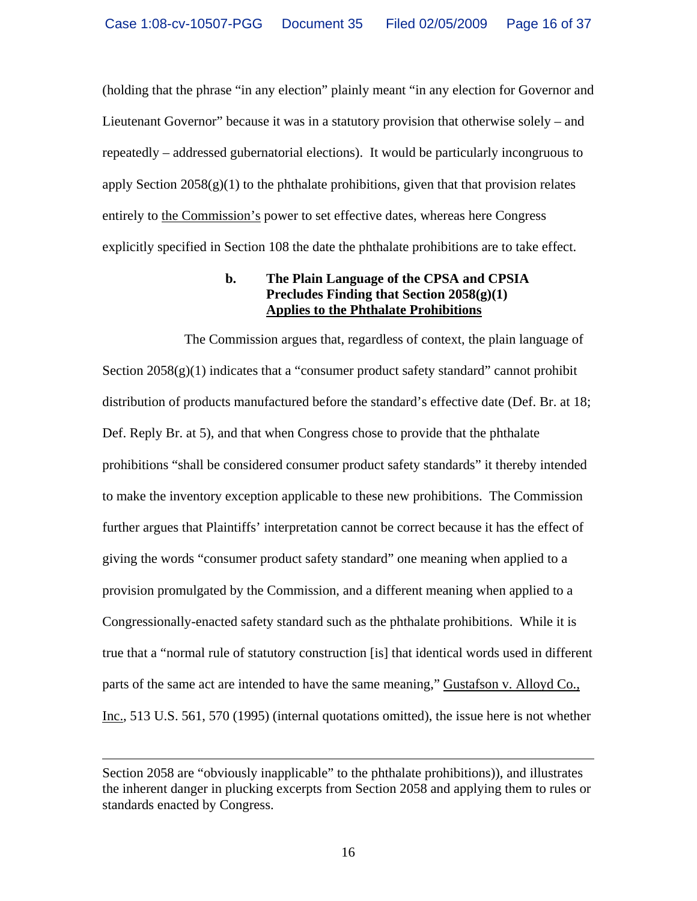(holding that the phrase "in any election" plainly meant "in any election for Governor and Lieutenant Governor" because it was in a statutory provision that otherwise solely – and repeatedly – addressed gubernatorial elections). It would be particularly incongruous to apply Section  $2058(g)(1)$  to the phthalate prohibitions, given that that provision relates entirely to the Commission's power to set effective dates, whereas here Congress explicitly specified in Section 108 the date the phthalate prohibitions are to take effect.

## **b. The Plain Language of the CPSA and CPSIA Precludes Finding that Section 2058(g)(1) Applies to the Phthalate Prohibitions**

The Commission argues that, regardless of context, the plain language of Section  $2058(g)(1)$  indicates that a "consumer product safety standard" cannot prohibit distribution of products manufactured before the standard's effective date (Def. Br. at 18; Def. Reply Br. at 5), and that when Congress chose to provide that the phthalate prohibitions "shall be considered consumer product safety standards" it thereby intended to make the inventory exception applicable to these new prohibitions. The Commission further argues that Plaintiffs' interpretation cannot be correct because it has the effect of giving the words "consumer product safety standard" one meaning when applied to a provision promulgated by the Commission, and a different meaning when applied to a Congressionally-enacted safety standard such as the phthalate prohibitions. While it is true that a "normal rule of statutory construction [is] that identical words used in different parts of the same act are intended to have the same meaning," Gustafson v. Alloyd Co., Inc., 513 U.S. 561, 570 (1995) (internal quotations omitted), the issue here is not whether

 $\overline{a}$ 

Section 2058 are "obviously inapplicable" to the phthalate prohibitions)), and illustrates the inherent danger in plucking excerpts from Section 2058 and applying them to rules or standards enacted by Congress.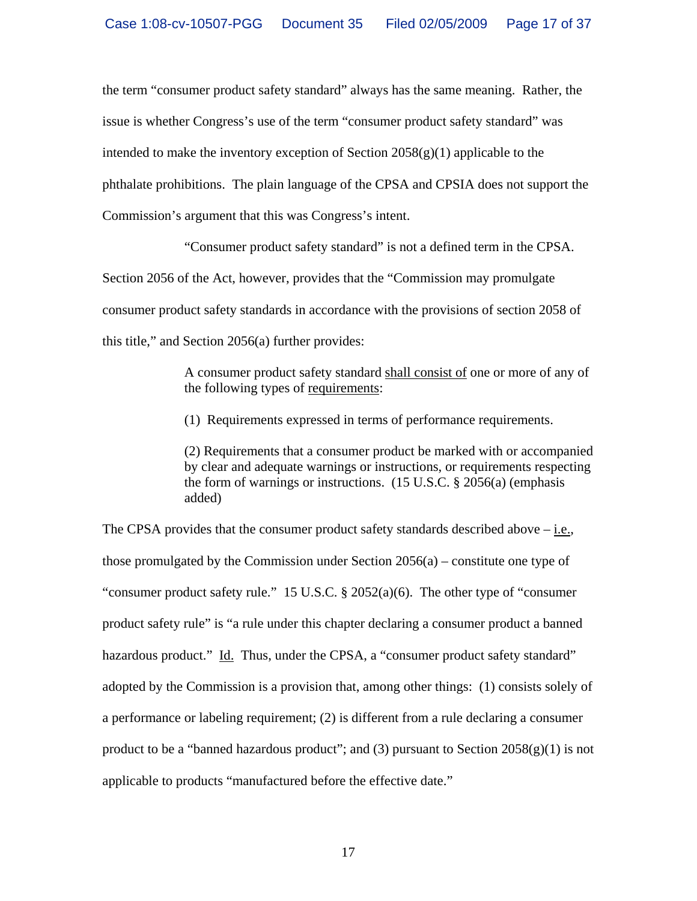the term "consumer product safety standard" always has the same meaning. Rather, the issue is whether Congress's use of the term "consumer product safety standard" was intended to make the inventory exception of Section  $2058(g)(1)$  applicable to the phthalate prohibitions. The plain language of the CPSA and CPSIA does not support the Commission's argument that this was Congress's intent.

"Consumer product safety standard" is not a defined term in the CPSA.

Section 2056 of the Act, however, provides that the "Commission may promulgate consumer product safety standards in accordance with the provisions of section 2058 of this title," and Section 2056(a) further provides:

> A consumer product safety standard shall consist of one or more of any of the following types of requirements:

(1) Requirements expressed in terms of performance requirements.

(2) Requirements that a consumer product be marked with or accompanied by clear and adequate warnings or instructions, or requirements respecting the form of warnings or instructions. (15 U.S.C. § 2056(a) (emphasis added)

The CPSA provides that the consumer product safety standards described above  $-\underline{\text{i.e.}}$ , those promulgated by the Commission under Section  $2056(a)$  – constitute one type of "consumer product safety rule." 15 U.S.C.  $\S 2052(a)(6)$ . The other type of "consumer" product safety rule" is "a rule under this chapter declaring a consumer product a banned hazardous product." Id. Thus, under the CPSA, a "consumer product safety standard" adopted by the Commission is a provision that, among other things: (1) consists solely of a performance or labeling requirement; (2) is different from a rule declaring a consumer product to be a "banned hazardous product"; and (3) pursuant to Section  $2058(g)(1)$  is not applicable to products "manufactured before the effective date."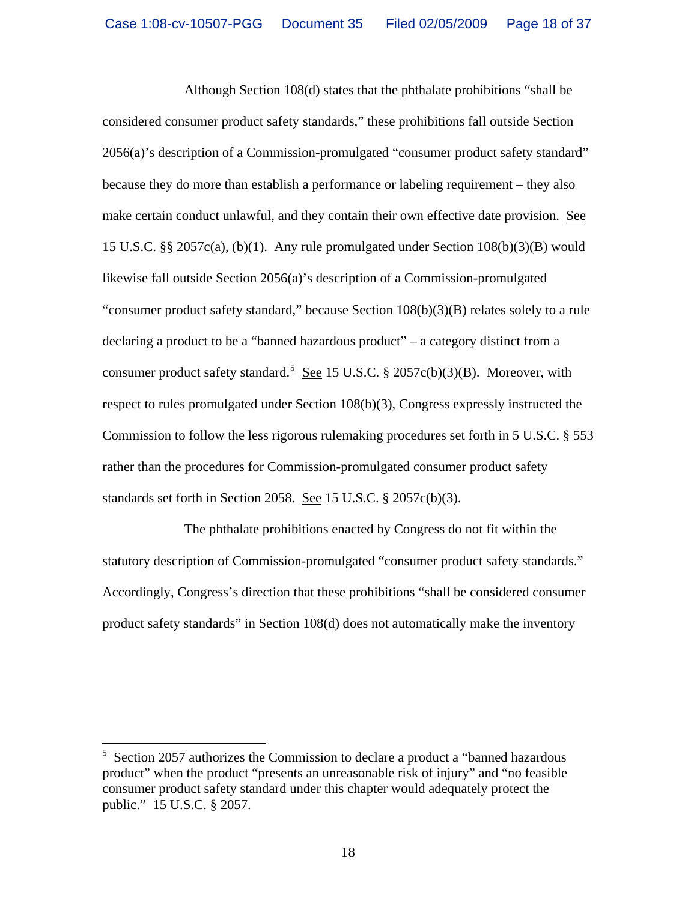Although Section 108(d) states that the phthalate prohibitions "shall be considered consumer product safety standards," these prohibitions fall outside Section 2056(a)'s description of a Commission-promulgated "consumer product safety standard" because they do more than establish a performance or labeling requirement – they also make certain conduct unlawful, and they contain their own effective date provision. See 15 U.S.C. §§ 2057c(a), (b)(1). Any rule promulgated under Section 108(b)(3)(B) would likewise fall outside Section 2056(a)'s description of a Commission-promulgated "consumer product safety standard," because Section 108(b)(3)(B) relates solely to a rule declaring a product to be a "banned hazardous product" – a category distinct from a consumer product safety standard.<sup>[5](#page-17-0)</sup> See 15 U.S.C. § 2057c(b)(3)(B). Moreover, with respect to rules promulgated under Section 108(b)(3), Congress expressly instructed the Commission to follow the less rigorous rulemaking procedures set forth in 5 U.S.C. § 553 rather than the procedures for Commission-promulgated consumer product safety standards set forth in Section 2058. See 15 U.S.C. § 2057c(b)(3).

The phthalate prohibitions enacted by Congress do not fit within the statutory description of Commission-promulgated "consumer product safety standards." Accordingly, Congress's direction that these prohibitions "shall be considered consumer product safety standards" in Section 108(d) does not automatically make the inventory

<span id="page-17-0"></span> 5 Section 2057 authorizes the Commission to declare a product a "banned hazardous product" when the product "presents an unreasonable risk of injury" and "no feasible consumer product safety standard under this chapter would adequately protect the public." 15 U.S.C. § 2057.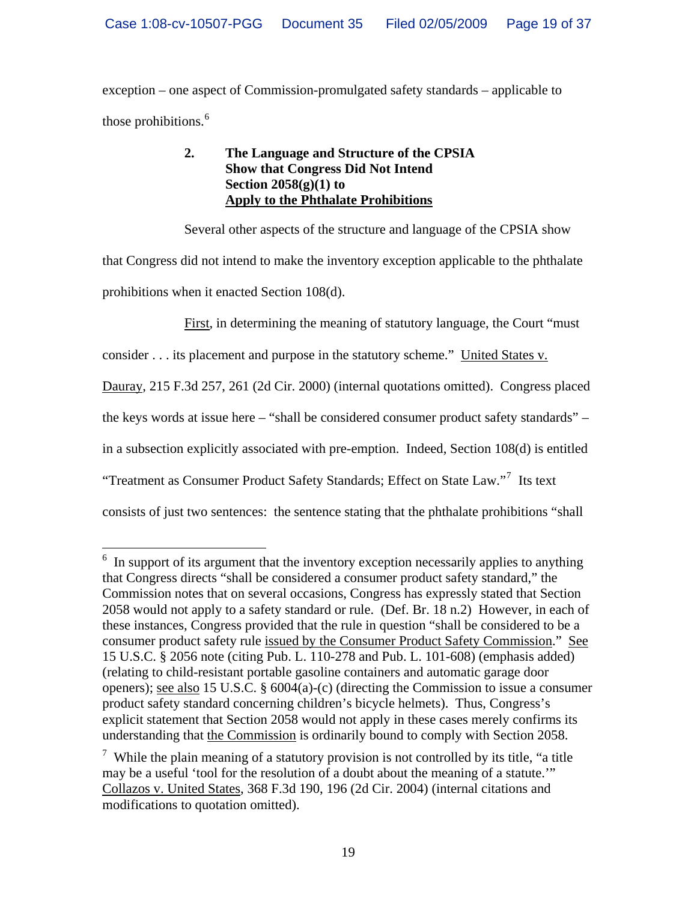exception – one aspect of Commission-promulgated safety standards – applicable to those prohibitions.<sup>[6](#page-18-0)</sup>

# **2. The Language and Structure of the CPSIA Show that Congress Did Not Intend Section 2058(g)(1) to Apply to the Phthalate Prohibitions**

Several other aspects of the structure and language of the CPSIA show that Congress did not intend to make the inventory exception applicable to the phthalate prohibitions when it enacted Section 108(d).

First, in determining the meaning of statutory language, the Court "must

consider . . . its placement and purpose in the statutory scheme." United States v.

Dauray, 215 F.3d 257, 261 (2d Cir. 2000) (internal quotations omitted). Congress placed

the keys words at issue here – "shall be considered consumer product safety standards" –

in a subsection explicitly associated with pre-emption. Indeed, Section 108(d) is entitled

"Treatment as Consumer Product Safety Standards; Effect on State Law."<sup>[7](#page-18-1)</sup> Its text

 $\overline{a}$ 

consists of just two sentences: the sentence stating that the phthalate prohibitions "shall

<span id="page-18-0"></span><sup>&</sup>lt;sup>6</sup> In support of its argument that the inventory exception necessarily applies to anything that Congress directs "shall be considered a consumer product safety standard," the Commission notes that on several occasions, Congress has expressly stated that Section 2058 would not apply to a safety standard or rule. (Def. Br. 18 n.2) However, in each of these instances, Congress provided that the rule in question "shall be considered to be a consumer product safety rule issued by the Consumer Product Safety Commission." See 15 U.S.C. § 2056 note (citing Pub. L. 110-278 and Pub. L. 101-608) (emphasis added) (relating to child-resistant portable gasoline containers and automatic garage door openers); see also 15 U.S.C. § 6004(a)-(c) (directing the Commission to issue a consumer product safety standard concerning children's bicycle helmets). Thus, Congress's explicit statement that Section 2058 would not apply in these cases merely confirms its understanding that the Commission is ordinarily bound to comply with Section 2058.

<span id="page-18-1"></span><sup>&</sup>lt;sup>7</sup> While the plain meaning of a statutory provision is not controlled by its title, "a title may be a useful 'tool for the resolution of a doubt about the meaning of a statute.'" Collazos v. United States, 368 F.3d 190, 196 (2d Cir. 2004) (internal citations and modifications to quotation omitted).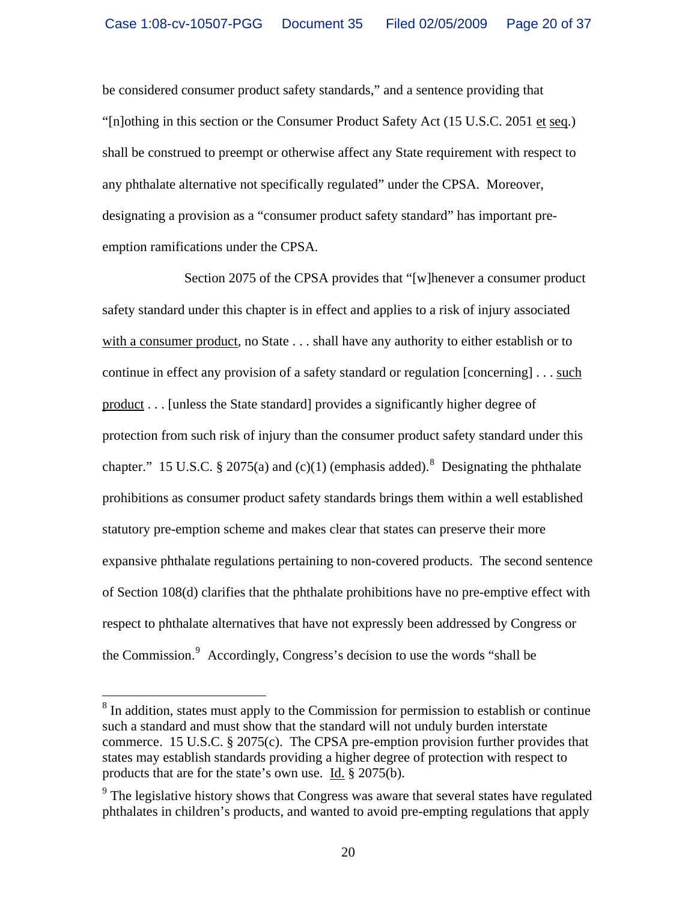be considered consumer product safety standards," and a sentence providing that "[n]othing in this section or the Consumer Product Safety Act (15 U.S.C. 2051 et seq.) shall be construed to preempt or otherwise affect any State requirement with respect to any phthalate alternative not specifically regulated" under the CPSA. Moreover, designating a provision as a "consumer product safety standard" has important preemption ramifications under the CPSA.

Section 2075 of the CPSA provides that "[w]henever a consumer product safety standard under this chapter is in effect and applies to a risk of injury associated with a consumer product, no State . . . shall have any authority to either establish or to continue in effect any provision of a safety standard or regulation [concerning] . . . such product . . . [unless the State standard] provides a significantly higher degree of protection from such risk of injury than the consumer product safety standard under this chapter." 15 U.S.C. § 2075(a) and (c)(1) (emphasis added). <sup>[8](#page-19-0)</sup> Designating the phthalate prohibitions as consumer product safety standards brings them within a well established statutory pre-emption scheme and makes clear that states can preserve their more expansive phthalate regulations pertaining to non-covered products. The second sentence of Section 108(d) clarifies that the phthalate prohibitions have no pre-emptive effect with respect to phthalate alternatives that have not expressly been addressed by Congress or the Commission.<sup>[9](#page-19-1)</sup> Accordingly, Congress's decision to use the words "shall be

 $\overline{a}$ 

<span id="page-19-0"></span><sup>&</sup>lt;sup>8</sup> In addition, states must apply to the Commission for permission to establish or continue such a standard and must show that the standard will not unduly burden interstate commerce. 15 U.S.C. § 2075(c). The CPSA pre-emption provision further provides that states may establish standards providing a higher degree of protection with respect to products that are for the state's own use. Id. § 2075(b).

<span id="page-19-1"></span> $9<sup>9</sup>$  The legislative history shows that Congress was aware that several states have regulated phthalates in children's products, and wanted to avoid pre-empting regulations that apply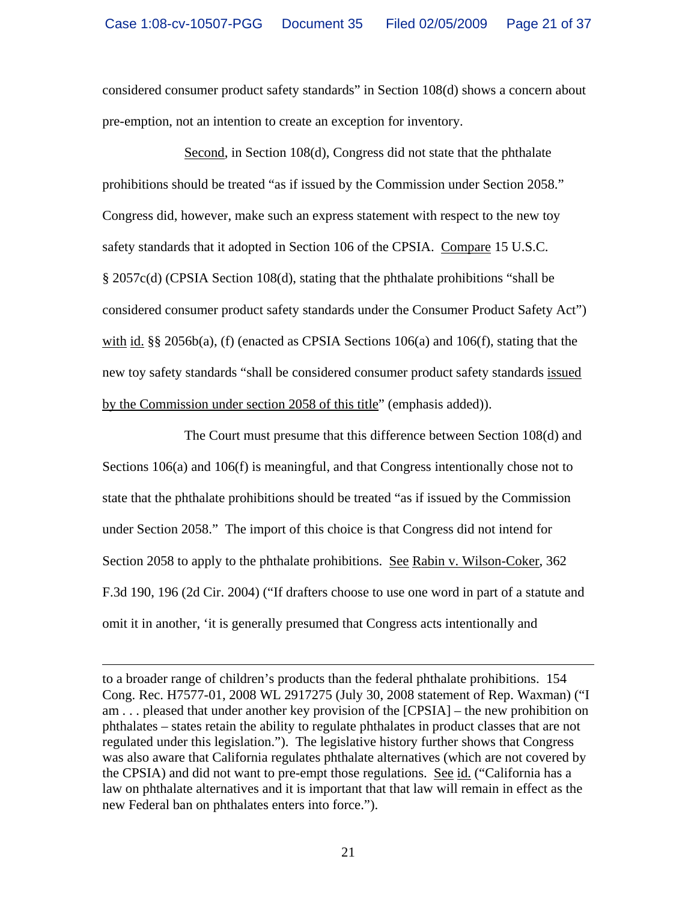considered consumer product safety standards" in Section 108(d) shows a concern about pre-emption, not an intention to create an exception for inventory.

Second, in Section 108(d), Congress did not state that the phthalate prohibitions should be treated "as if issued by the Commission under Section 2058." Congress did, however, make such an express statement with respect to the new toy safety standards that it adopted in Section 106 of the CPSIA. Compare 15 U.S.C. § 2057c(d) (CPSIA Section 108(d), stating that the phthalate prohibitions "shall be considered consumer product safety standards under the Consumer Product Safety Act") with id. §§ 2056b(a), (f) (enacted as CPSIA Sections 106(a) and 106(f), stating that the new toy safety standards "shall be considered consumer product safety standards issued by the Commission under section 2058 of this title" (emphasis added)).

The Court must presume that this difference between Section 108(d) and Sections 106(a) and 106(f) is meaningful, and that Congress intentionally chose not to state that the phthalate prohibitions should be treated "as if issued by the Commission under Section 2058." The import of this choice is that Congress did not intend for Section 2058 to apply to the phthalate prohibitions. See Rabin v. Wilson-Coker, 362 F.3d 190, 196 (2d Cir. 2004) ("If drafters choose to use one word in part of a statute and omit it in another, 'it is generally presumed that Congress acts intentionally and

 $\overline{a}$ 

to a broader range of children's products than the federal phthalate prohibitions. 154 Cong. Rec. H7577-01, 2008 WL 2917275 (July 30, 2008 statement of Rep. Waxman) ("I am . . . pleased that under another key provision of the [CPSIA] – the new prohibition on phthalates – states retain the ability to regulate phthalates in product classes that are not regulated under this legislation."). The legislative history further shows that Congress was also aware that California regulates phthalate alternatives (which are not covered by the CPSIA) and did not want to pre-empt those regulations. See id. ("California has a law on phthalate alternatives and it is important that that law will remain in effect as the new Federal ban on phthalates enters into force.").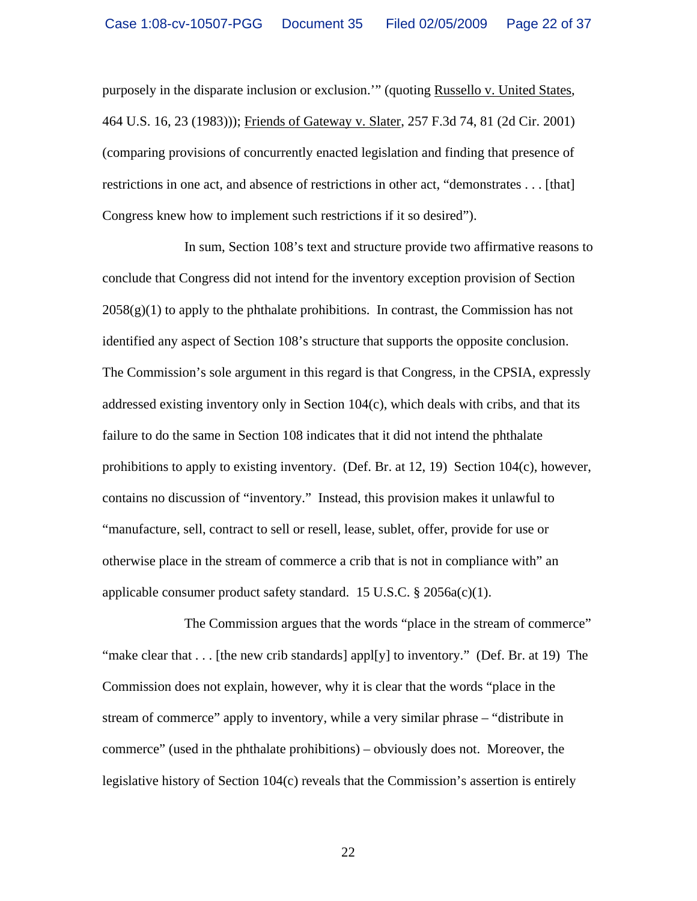purposely in the disparate inclusion or exclusion.'" (quoting Russello v. United States, 464 U.S. 16, 23 (1983))); Friends of Gateway v. Slater, 257 F.3d 74, 81 (2d Cir. 2001) (comparing provisions of concurrently enacted legislation and finding that presence of restrictions in one act, and absence of restrictions in other act, "demonstrates . . . [that] Congress knew how to implement such restrictions if it so desired").

In sum, Section 108's text and structure provide two affirmative reasons to conclude that Congress did not intend for the inventory exception provision of Section  $2058(g)(1)$  to apply to the phthalate prohibitions. In contrast, the Commission has not identified any aspect of Section 108's structure that supports the opposite conclusion. The Commission's sole argument in this regard is that Congress, in the CPSIA, expressly addressed existing inventory only in Section 104(c), which deals with cribs, and that its failure to do the same in Section 108 indicates that it did not intend the phthalate prohibitions to apply to existing inventory. (Def. Br. at 12, 19) Section 104(c), however, contains no discussion of "inventory." Instead, this provision makes it unlawful to "manufacture, sell, contract to sell or resell, lease, sublet, offer, provide for use or otherwise place in the stream of commerce a crib that is not in compliance with" an applicable consumer product safety standard. 15 U.S.C.  $\S 2056a(c)(1)$ .

The Commission argues that the words "place in the stream of commerce" "make clear that  $\dots$  [the new crib standards] appl[y] to inventory." (Def. Br. at 19) The Commission does not explain, however, why it is clear that the words "place in the stream of commerce" apply to inventory, while a very similar phrase – "distribute in commerce" (used in the phthalate prohibitions) – obviously does not. Moreover, the legislative history of Section 104(c) reveals that the Commission's assertion is entirely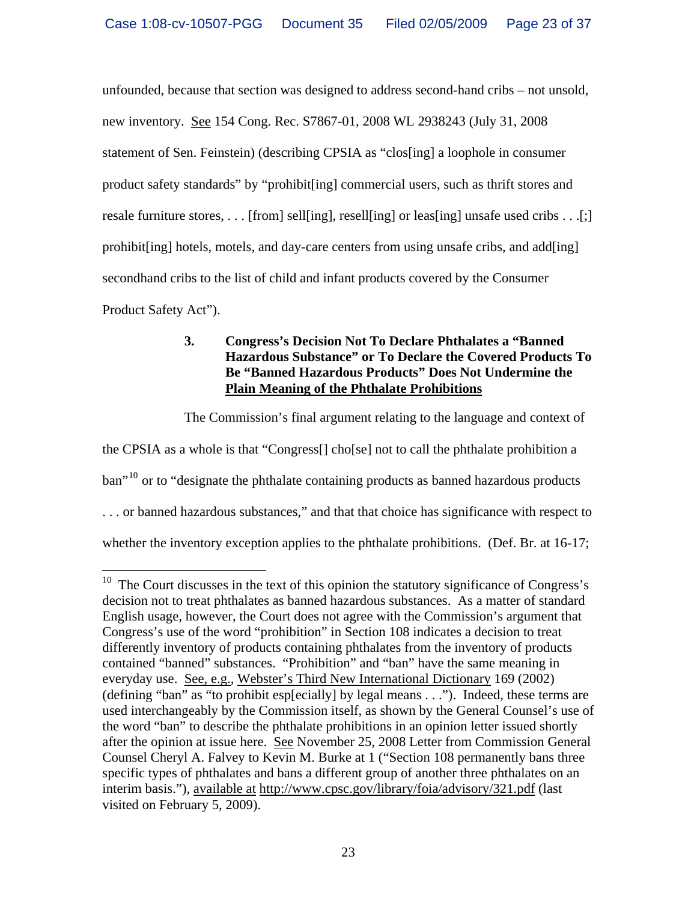unfounded, because that section was designed to address second-hand cribs – not unsold, new inventory. See 154 Cong. Rec. S7867-01, 2008 WL 2938243 (July 31, 2008 statement of Sen. Feinstein) (describing CPSIA as "clos[ing] a loophole in consumer product safety standards" by "prohibit[ing] commercial users, such as thrift stores and resale furniture stores, . . . [from] sell[ing], resell[ing] or leas[ing] unsafe used cribs . . .[;] prohibit[ing] hotels, motels, and day-care centers from using unsafe cribs, and add[ing] secondhand cribs to the list of child and infant products covered by the Consumer Product Safety Act").

# **3. Congress's Decision Not To Declare Phthalates a "Banned Hazardous Substance" or To Declare the Covered Products To Be "Banned Hazardous Products" Does Not Undermine the Plain Meaning of the Phthalate Prohibitions**

The Commission's final argument relating to the language and context of

the CPSIA as a whole is that "Congress[] cho[se] not to call the phthalate prohibition a  $\text{ban}^{10}$  $\text{ban}^{10}$  $\text{ban}^{10}$  or to "designate the phthalate containing products as banned hazardous products . . . or banned hazardous substances," and that that choice has significance with respect to whether the inventory exception applies to the phthalate prohibitions. (Def. Br. at 16-17;

<span id="page-22-0"></span> $\overline{a}$  $10$  The Court discusses in the text of this opinion the statutory significance of Congress's decision not to treat phthalates as banned hazardous substances. As a matter of standard English usage, however, the Court does not agree with the Commission's argument that Congress's use of the word "prohibition" in Section 108 indicates a decision to treat differently inventory of products containing phthalates from the inventory of products contained "banned" substances. "Prohibition" and "ban" have the same meaning in everyday use. See, e.g., Webster's Third New International Dictionary 169 (2002) (defining "ban" as "to prohibit esp[ecially] by legal means . . ."). Indeed, these terms are used interchangeably by the Commission itself, as shown by the General Counsel's use of the word "ban" to describe the phthalate prohibitions in an opinion letter issued shortly after the opinion at issue here. See November 25, 2008 Letter from Commission General Counsel Cheryl A. Falvey to Kevin M. Burke at 1 ("Section 108 permanently bans three specific types of phthalates and bans a different group of another three phthalates on an interim basis."), available at <http://www.cpsc.gov/library/foia/advisory/321.pdf> (last visited on February 5, 2009).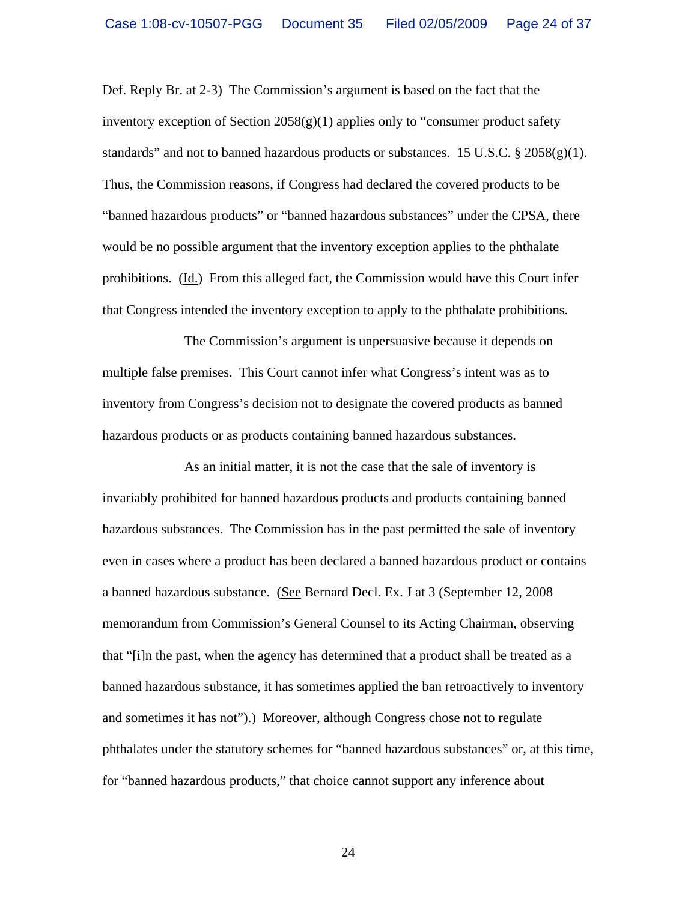Def. Reply Br. at 2-3) The Commission's argument is based on the fact that the inventory exception of Section  $2058(g)(1)$  applies only to "consumer product safety" standards" and not to banned hazardous products or substances. 15 U.S.C.  $\S 2058(g)(1)$ . Thus, the Commission reasons, if Congress had declared the covered products to be "banned hazardous products" or "banned hazardous substances" under the CPSA, there would be no possible argument that the inventory exception applies to the phthalate prohibitions. (Id.) From this alleged fact, the Commission would have this Court infer that Congress intended the inventory exception to apply to the phthalate prohibitions.

The Commission's argument is unpersuasive because it depends on multiple false premises. This Court cannot infer what Congress's intent was as to inventory from Congress's decision not to designate the covered products as banned hazardous products or as products containing banned hazardous substances.

As an initial matter, it is not the case that the sale of inventory is invariably prohibited for banned hazardous products and products containing banned hazardous substances. The Commission has in the past permitted the sale of inventory even in cases where a product has been declared a banned hazardous product or contains a banned hazardous substance. (See Bernard Decl. Ex. J at 3 (September 12, 2008 memorandum from Commission's General Counsel to its Acting Chairman, observing that "[i]n the past, when the agency has determined that a product shall be treated as a banned hazardous substance, it has sometimes applied the ban retroactively to inventory and sometimes it has not").) Moreover, although Congress chose not to regulate phthalates under the statutory schemes for "banned hazardous substances" or, at this time, for "banned hazardous products," that choice cannot support any inference about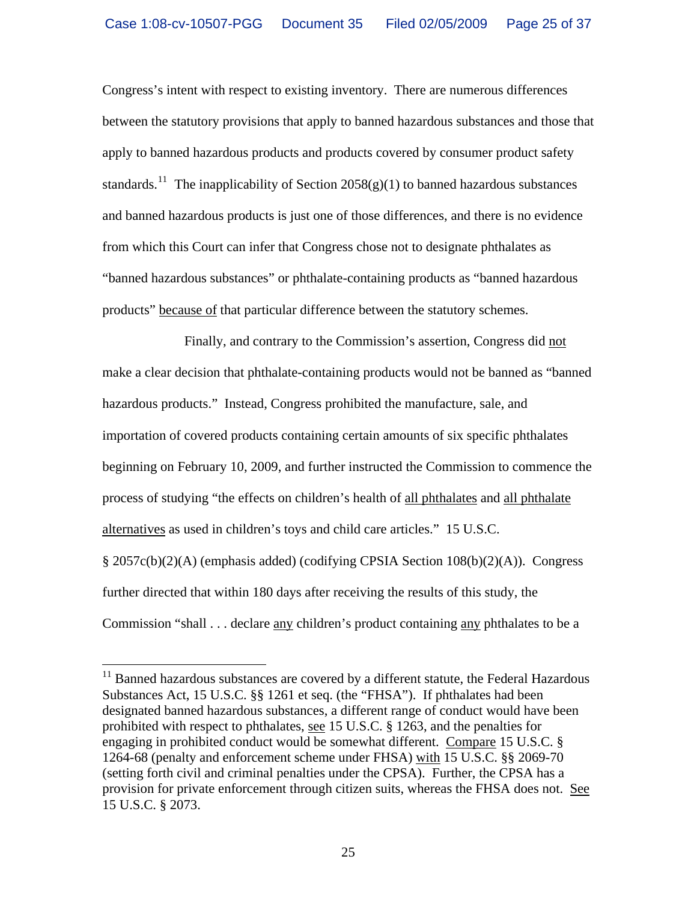Congress's intent with respect to existing inventory. There are numerous differences between the statutory provisions that apply to banned hazardous substances and those that apply to banned hazardous products and products covered by consumer product safety standards.<sup>[11](#page-24-0)</sup> The inapplicability of Section 2058(g)(1) to banned hazardous substances and banned hazardous products is just one of those differences, and there is no evidence from which this Court can infer that Congress chose not to designate phthalates as "banned hazardous substances" or phthalate-containing products as "banned hazardous products" because of that particular difference between the statutory schemes.

Finally, and contrary to the Commission's assertion, Congress did not make a clear decision that phthalate-containing products would not be banned as "banned hazardous products." Instead, Congress prohibited the manufacture, sale, and importation of covered products containing certain amounts of six specific phthalates beginning on February 10, 2009, and further instructed the Commission to commence the process of studying "the effects on children's health of all phthalates and all phthalate alternatives as used in children's toys and child care articles." 15 U.S.C. § 2057c(b)(2)(A) (emphasis added) (codifying CPSIA Section 108(b)(2)(A)). Congress further directed that within 180 days after receiving the results of this study, the Commission "shall . . . declare any children's product containing any phthalates to be a

 $\overline{a}$ 

<span id="page-24-0"></span> $11$  Banned hazardous substances are covered by a different statute, the Federal Hazardous Substances Act, 15 U.S.C. §§ 1261 et seq. (the "FHSA"). If phthalates had been designated banned hazardous substances, a different range of conduct would have been prohibited with respect to phthalates, see 15 U.S.C. § 1263, and the penalties for engaging in prohibited conduct would be somewhat different. Compare 15 U.S.C. § 1264-68 (penalty and enforcement scheme under FHSA) with 15 U.S.C. §§ 2069-70 (setting forth civil and criminal penalties under the CPSA). Further, the CPSA has a provision for private enforcement through citizen suits, whereas the FHSA does not. See 15 U.S.C. § 2073.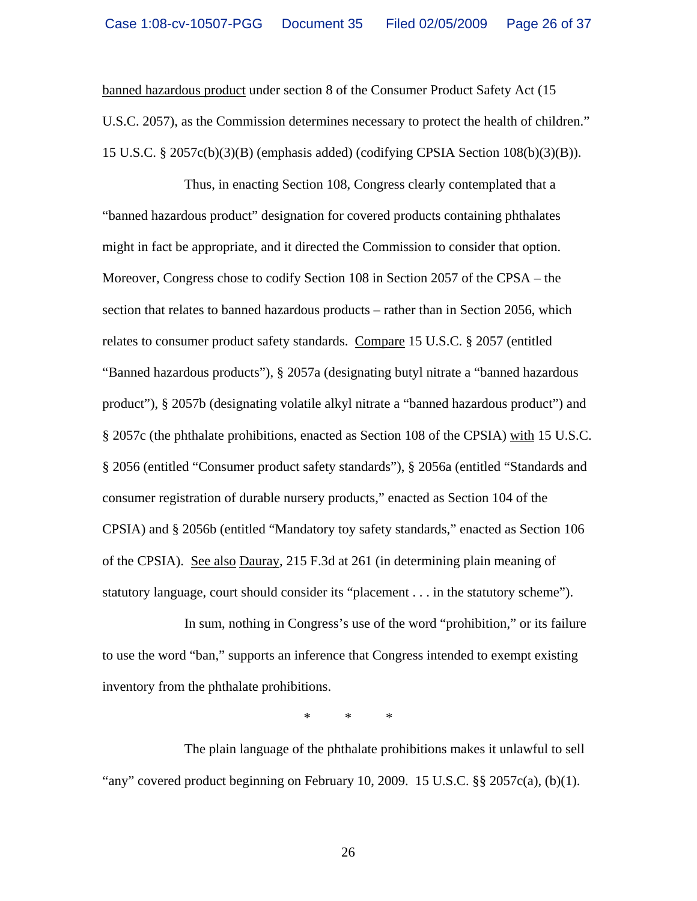banned hazardous product under section 8 of the Consumer Product Safety Act (15 U.S.C. 2057), as the Commission determines necessary to protect the health of children." 15 U.S.C. § 2057c(b)(3)(B) (emphasis added) (codifying CPSIA Section 108(b)(3)(B)).

Thus, in enacting Section 108, Congress clearly contemplated that a "banned hazardous product" designation for covered products containing phthalates might in fact be appropriate, and it directed the Commission to consider that option. Moreover, Congress chose to codify Section 108 in Section 2057 of the CPSA – the section that relates to banned hazardous products – rather than in Section 2056, which relates to consumer product safety standards. Compare 15 U.S.C. § 2057 (entitled "Banned hazardous products"), § 2057a (designating butyl nitrate a "banned hazardous product"), § 2057b (designating volatile alkyl nitrate a "banned hazardous product") and § 2057c (the phthalate prohibitions, enacted as Section 108 of the CPSIA) with 15 U.S.C. § 2056 (entitled "Consumer product safety standards"), § 2056a (entitled "Standards and consumer registration of durable nursery products," enacted as Section 104 of the CPSIA) and § 2056b (entitled "Mandatory toy safety standards," enacted as Section 106 of the CPSIA). See also Dauray, 215 F.3d at 261 (in determining plain meaning of statutory language, court should consider its "placement . . . in the statutory scheme").

In sum, nothing in Congress's use of the word "prohibition," or its failure to use the word "ban," supports an inference that Congress intended to exempt existing inventory from the phthalate prohibitions.

\* \* \*

The plain language of the phthalate prohibitions makes it unlawful to sell "any" covered product beginning on February 10, 2009. 15 U.S.C.  $\S$ § 2057c(a), (b)(1).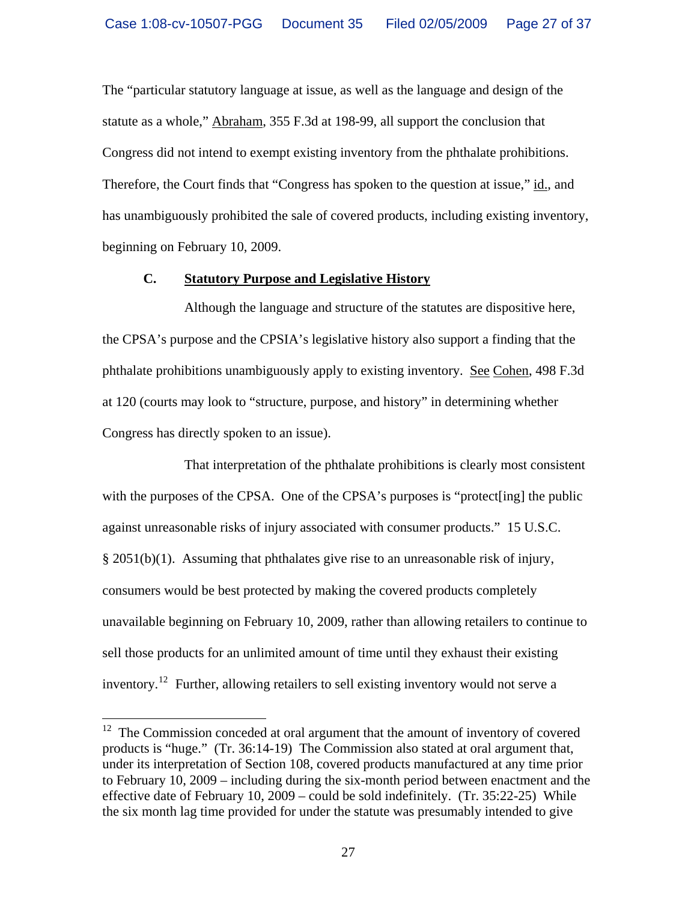The "particular statutory language at issue, as well as the language and design of the statute as a whole," Abraham, 355 F.3d at 198-99, all support the conclusion that Congress did not intend to exempt existing inventory from the phthalate prohibitions. Therefore, the Court finds that "Congress has spoken to the question at issue," id., and has unambiguously prohibited the sale of covered products, including existing inventory, beginning on February 10, 2009.

#### **C. Statutory Purpose and Legislative History**

Although the language and structure of the statutes are dispositive here, the CPSA's purpose and the CPSIA's legislative history also support a finding that the phthalate prohibitions unambiguously apply to existing inventory. See Cohen, 498 F.3d at 120 (courts may look to "structure, purpose, and history" in determining whether Congress has directly spoken to an issue).

That interpretation of the phthalate prohibitions is clearly most consistent with the purposes of the CPSA. One of the CPSA's purposes is "protect[ing] the public against unreasonable risks of injury associated with consumer products." 15 U.S.C. § 2051(b)(1). Assuming that phthalates give rise to an unreasonable risk of injury, consumers would be best protected by making the covered products completely unavailable beginning on February 10, 2009, rather than allowing retailers to continue to sell those products for an unlimited amount of time until they exhaust their existing inventory.[12](#page-26-0) Further, allowing retailers to sell existing inventory would not serve a

 $\overline{a}$ 

<span id="page-26-0"></span> $12$  The Commission conceded at oral argument that the amount of inventory of covered products is "huge." (Tr. 36:14-19)The Commission also stated at oral argument that, under its interpretation of Section 108, covered products manufactured at any time prior to February 10, 2009 – including during the six-month period between enactment and the effective date of February 10, 2009 – could be sold indefinitely. (Tr. 35:22-25) While the six month lag time provided for under the statute was presumably intended to give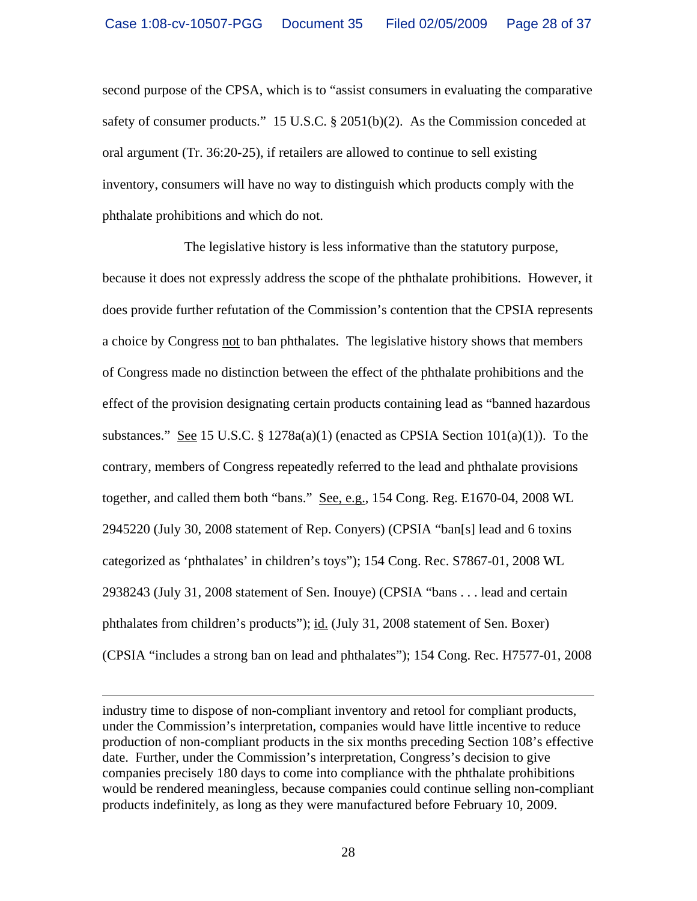second purpose of the CPSA, which is to "assist consumers in evaluating the comparative safety of consumer products." 15 U.S.C. § 2051(b)(2). As the Commission conceded at oral argument (Tr. 36:20-25), if retailers are allowed to continue to sell existing inventory, consumers will have no way to distinguish which products comply with the phthalate prohibitions and which do not.

The legislative history is less informative than the statutory purpose, because it does not expressly address the scope of the phthalate prohibitions. However, it does provide further refutation of the Commission's contention that the CPSIA represents a choice by Congress not to ban phthalates. The legislative history shows that members of Congress made no distinction between the effect of the phthalate prohibitions and the effect of the provision designating certain products containing lead as "banned hazardous substances." See 15 U.S.C. § 1278a(a)(1) (enacted as CPSIA Section  $101(a)(1)$ ). To the contrary, members of Congress repeatedly referred to the lead and phthalate provisions together, and called them both "bans." See, e.g., 154 Cong. Reg. E1670-04, 2008 WL 2945220 (July 30, 2008 statement of Rep. Conyers) (CPSIA "ban[s] lead and 6 toxins categorized as 'phthalates' in children's toys"); 154 Cong. Rec. S7867-01, 2008 WL 2938243 (July 31, 2008 statement of Sen. Inouye) (CPSIA "bans . . . lead and certain phthalates from children's products"); id. (July 31, 2008 statement of Sen. Boxer) (CPSIA "includes a strong ban on lead and phthalates"); 154 Cong. Rec. H7577-01, 2008

industry time to dispose of non-compliant inventory and retool for compliant products, under the Commission's interpretation, companies would have little incentive to reduce production of non-compliant products in the six months preceding Section 108's effective date. Further, under the Commission's interpretation, Congress's decision to give companies precisely 180 days to come into compliance with the phthalate prohibitions would be rendered meaningless, because companies could continue selling non-compliant products indefinitely, as long as they were manufactured before February 10, 2009.

 $\overline{a}$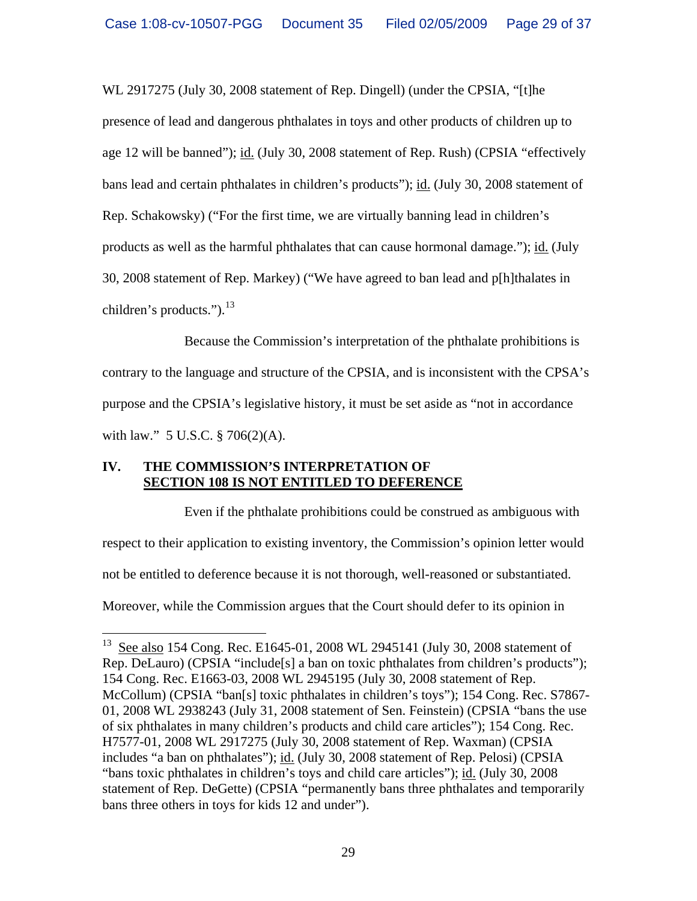WL 2917275 (July 30, 2008 statement of Rep. Dingell) (under the CPSIA, "[t]he presence of lead and dangerous phthalates in toys and other products of children up to age 12 will be banned"); id. (July 30, 2008 statement of Rep. Rush) (CPSIA "effectively bans lead and certain phthalates in children's products"); id. (July 30, 2008 statement of Rep. Schakowsky) ("For the first time, we are virtually banning lead in children's products as well as the harmful phthalates that can cause hormonal damage."); id. (July 30, 2008 statement of Rep. Markey) ("We have agreed to ban lead and p[h]thalates in children's products.").  $^{13}$  $^{13}$  $^{13}$ 

Because the Commission's interpretation of the phthalate prohibitions is contrary to the language and structure of the CPSIA, and is inconsistent with the CPSA's purpose and the CPSIA's legislative history, it must be set aside as "not in accordance with law." 5 U.S.C. § 706(2)(A).

# **IV. THE COMMISSION'S INTERPRETATION OF SECTION 108 IS NOT ENTITLED TO DEFERENCE**

 $\overline{a}$ 

Even if the phthalate prohibitions could be construed as ambiguous with respect to their application to existing inventory, the Commission's opinion letter would not be entitled to deference because it is not thorough, well-reasoned or substantiated. Moreover, while the Commission argues that the Court should defer to its opinion in

<span id="page-28-0"></span><sup>&</sup>lt;sup>13</sup> See also 154 Cong. Rec. E1645-01, 2008 WL 2945141 (July 30, 2008 statement of Rep. DeLauro) (CPSIA "include<sup>[s]</sup> a ban on toxic phthalates from children's products"); 154 Cong. Rec. E1663-03, 2008 WL 2945195 (July 30, 2008 statement of Rep. McCollum) (CPSIA "ban[s] toxic phthalates in children's toys"); 154 Cong. Rec. S7867-01, 2008 WL 2938243 (July 31, 2008 statement of Sen. Feinstein) (CPSIA "bans the use of six phthalates in many children's products and child care articles"); 154 Cong. Rec. H7577-01, 2008 WL 2917275 (July 30, 2008 statement of Rep. Waxman) (CPSIA includes "a ban on phthalates"); id. (July 30, 2008 statement of Rep. Pelosi) (CPSIA "bans toxic phthalates in children's toys and child care articles"); id. (July 30, 2008 statement of Rep. DeGette) (CPSIA "permanently bans three phthalates and temporarily bans three others in toys for kids 12 and under").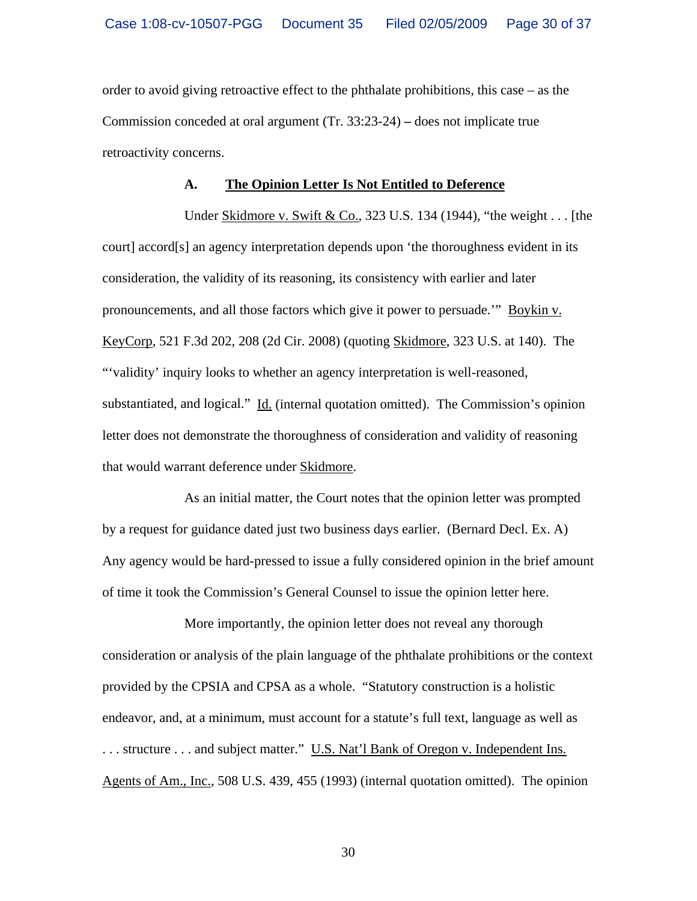order to avoid giving retroactive effect to the phthalate prohibitions, this case – as the Commission conceded at oral argument (Tr. 33:23-24) **–** does not implicate true retroactivity concerns.

#### **A. The Opinion Letter Is Not Entitled to Deference**

Under Skidmore v. Swift & Co., 323 U.S. 134 (1944), "the weight . . . [the court] accord[s] an agency interpretation depends upon 'the thoroughness evident in its consideration, the validity of its reasoning, its consistency with earlier and later pronouncements, and all those factors which give it power to persuade.'" Boykin v. KeyCorp, 521 F.3d 202, 208 (2d Cir. 2008) (quoting Skidmore, 323 U.S. at 140). The "'validity' inquiry looks to whether an agency interpretation is well-reasoned, substantiated, and logical." Id. (internal quotation omitted). The Commission's opinion letter does not demonstrate the thoroughness of consideration and validity of reasoning that would warrant deference under Skidmore.

As an initial matter, the Court notes that the opinion letter was prompted by a request for guidance dated just two business days earlier. (Bernard Decl. Ex. A) Any agency would be hard-pressed to issue a fully considered opinion in the brief amount of time it took the Commission's General Counsel to issue the opinion letter here.

More importantly, the opinion letter does not reveal any thorough consideration or analysis of the plain language of the phthalate prohibitions or the context provided by the CPSIA and CPSA as a whole. "Statutory construction is a holistic endeavor, and, at a minimum, must account for a statute's full text, language as well as ... structure ... and subject matter." U.S. Nat'l Bank of Oregon v. Independent Ins. Agents of Am., Inc., 508 U.S. 439, 455 (1993) (internal quotation omitted). The opinion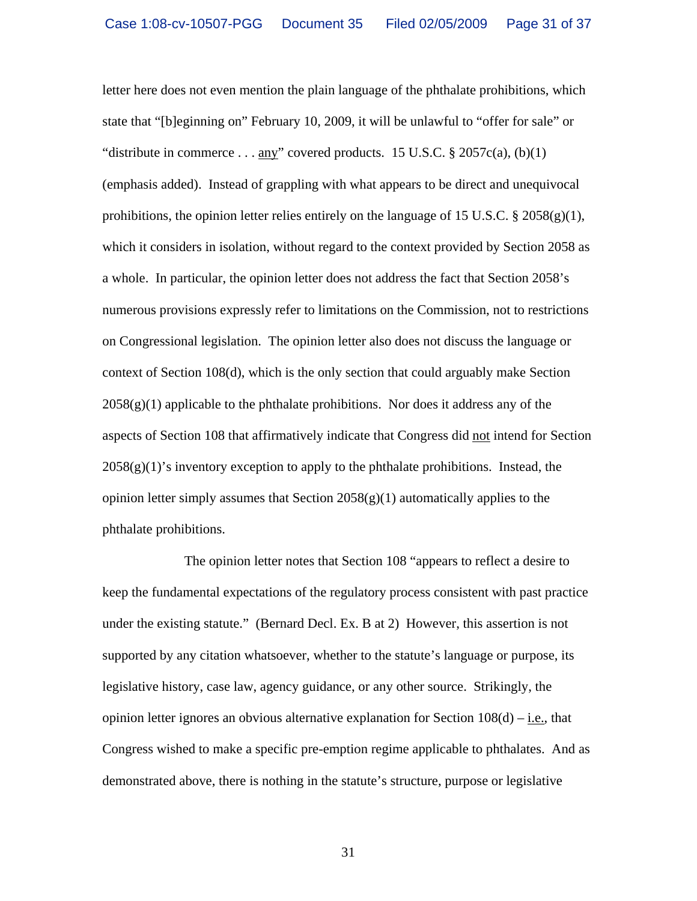letter here does not even mention the plain language of the phthalate prohibitions, which state that "[b]eginning on" February 10, 2009, it will be unlawful to "offer for sale" or "distribute in commerce . . . any" covered products. 15 U.S.C.  $\S 2057c(a)$ , (b)(1) (emphasis added). Instead of grappling with what appears to be direct and unequivocal prohibitions, the opinion letter relies entirely on the language of 15 U.S.C.  $\S 2058(g)(1)$ , which it considers in isolation, without regard to the context provided by Section 2058 as a whole. In particular, the opinion letter does not address the fact that Section 2058's numerous provisions expressly refer to limitations on the Commission, not to restrictions on Congressional legislation. The opinion letter also does not discuss the language or context of Section 108(d), which is the only section that could arguably make Section  $2058(g)(1)$  applicable to the phthalate prohibitions. Nor does it address any of the aspects of Section 108 that affirmatively indicate that Congress did not intend for Section  $2058(g)(1)$ 's inventory exception to apply to the phthalate prohibitions. Instead, the opinion letter simply assumes that Section 2058(g)(1) automatically applies to the phthalate prohibitions.

The opinion letter notes that Section 108 "appears to reflect a desire to keep the fundamental expectations of the regulatory process consistent with past practice under the existing statute." (Bernard Decl. Ex. B at 2) However, this assertion is not supported by any citation whatsoever, whether to the statute's language or purpose, its legislative history, case law, agency guidance, or any other source. Strikingly, the opinion letter ignores an obvious alternative explanation for Section  $108(d) - i.e.,$  that Congress wished to make a specific pre-emption regime applicable to phthalates. And as demonstrated above, there is nothing in the statute's structure, purpose or legislative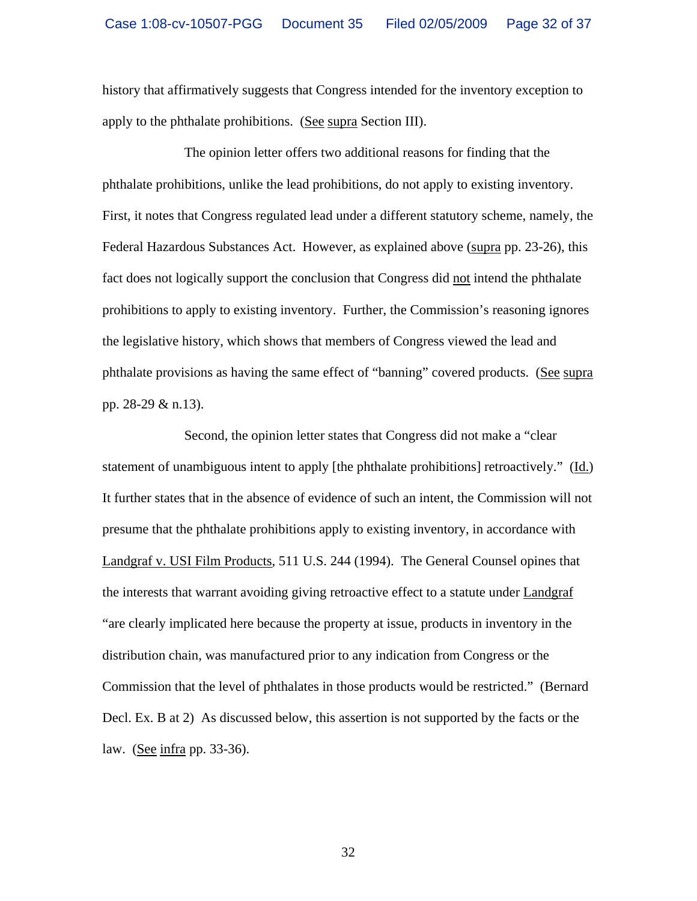history that affirmatively suggests that Congress intended for the inventory exception to apply to the phthalate prohibitions. (See supra Section III).

The opinion letter offers two additional reasons for finding that the phthalate prohibitions, unlike the lead prohibitions, do not apply to existing inventory. First, it notes that Congress regulated lead under a different statutory scheme, namely, the Federal Hazardous Substances Act. However, as explained above (supra pp. 23-26), this fact does not logically support the conclusion that Congress did not intend the phthalate prohibitions to apply to existing inventory. Further, the Commission's reasoning ignores the legislative history, which shows that members of Congress viewed the lead and phthalate provisions as having the same effect of "banning" covered products. (See supra pp. 28-29 & n.13).

Second, the opinion letter states that Congress did not make a "clear statement of unambiguous intent to apply [the phthalate prohibitions] retroactively." (Id.) It further states that in the absence of evidence of such an intent, the Commission will not presume that the phthalate prohibitions apply to existing inventory, in accordance with Landgraf v. USI Film Products, 511 U.S. 244 (1994). The General Counsel opines that the interests that warrant avoiding giving retroactive effect to a statute under Landgraf "are clearly implicated here because the property at issue, products in inventory in the distribution chain, was manufactured prior to any indication from Congress or the Commission that the level of phthalates in those products would be restricted." (Bernard Decl. Ex. B at 2) As discussed below, this assertion is not supported by the facts or the law. (See infra pp. 33-36).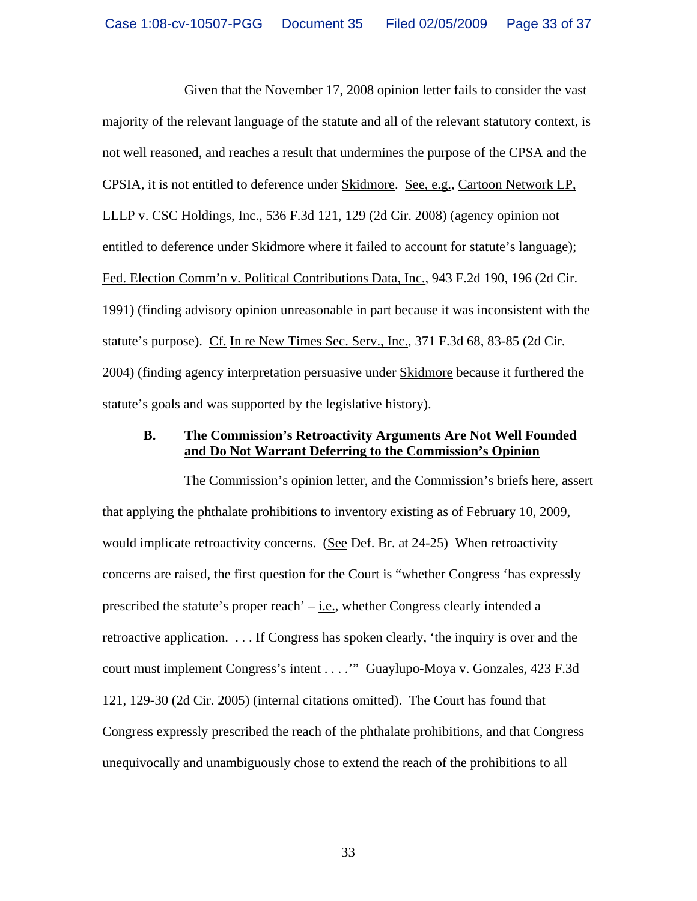Given that the November 17, 2008 opinion letter fails to consider the vast majority of the relevant language of the statute and all of the relevant statutory context, is not well reasoned, and reaches a result that undermines the purpose of the CPSA and the CPSIA, it is not entitled to deference under Skidmore. See, e.g., Cartoon Network LP, LLLP v. CSC Holdings, Inc., 536 F.3d 121, 129 (2d Cir. 2008) (agency opinion not entitled to deference under Skidmore where it failed to account for statute's language); Fed. Election Comm'n v. Political Contributions Data, Inc., 943 F.2d 190, 196 (2d Cir. 1991) (finding advisory opinion unreasonable in part because it was inconsistent with the statute's purpose). Cf. In re New Times Sec. Serv., Inc., 371 F.3d 68, 83-85 (2d Cir. 2004) (finding agency interpretation persuasive under Skidmore because it furthered the statute's goals and was supported by the legislative history).

#### **B. The Commission's Retroactivity Arguments Are Not Well Founded and Do Not Warrant Deferring to the Commission's Opinion**

The Commission's opinion letter, and the Commission's briefs here, assert that applying the phthalate prohibitions to inventory existing as of February 10, 2009, would implicate retroactivity concerns. (See Def. Br. at 24-25) When retroactivity concerns are raised, the first question for the Court is "whether Congress 'has expressly prescribed the statute's proper reach'  $-\underline{i.e.}$ , whether Congress clearly intended a retroactive application. . . . If Congress has spoken clearly, 'the inquiry is over and the court must implement Congress's intent . . . .'" Guaylupo-Moya v. Gonzales, 423 F.3d 121, 129-30 (2d Cir. 2005) (internal citations omitted). The Court has found that Congress expressly prescribed the reach of the phthalate prohibitions, and that Congress unequivocally and unambiguously chose to extend the reach of the prohibitions to all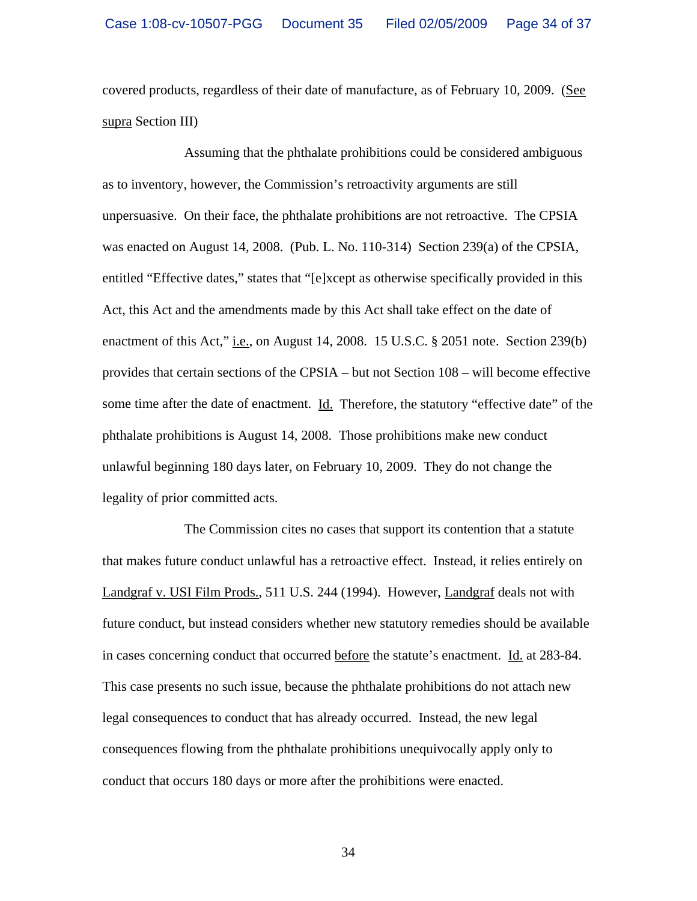covered products, regardless of their date of manufacture, as of February 10, 2009. (See supra Section III)

Assuming that the phthalate prohibitions could be considered ambiguous as to inventory, however, the Commission's retroactivity arguments are still unpersuasive. On their face, the phthalate prohibitions are not retroactive. The CPSIA was enacted on August 14, 2008. (Pub. L. No. 110-314) Section 239(a) of the CPSIA, entitled "Effective dates," states that "[e]xcept as otherwise specifically provided in this Act, this Act and the amendments made by this Act shall take effect on the date of enactment of this Act," i.e., on August 14, 2008. 15 U.S.C. § 2051 note. Section 239(b) provides that certain sections of the CPSIA – but not Section 108 – will become effective some time after the date of enactment. Id. Therefore, the statutory "effective date" of the phthalate prohibitions is August 14, 2008. Those prohibitions make new conduct unlawful beginning 180 days later, on February 10, 2009. They do not change the legality of prior committed acts.

The Commission cites no cases that support its contention that a statute that makes future conduct unlawful has a retroactive effect. Instead, it relies entirely on Landgraf v. USI Film Prods., 511 U.S. 244 (1994). However, Landgraf deals not with future conduct, but instead considers whether new statutory remedies should be available in cases concerning conduct that occurred before the statute's enactment. Id. at 283-84. This case presents no such issue, because the phthalate prohibitions do not attach new legal consequences to conduct that has already occurred. Instead, the new legal consequences flowing from the phthalate prohibitions unequivocally apply only to conduct that occurs 180 days or more after the prohibitions were enacted.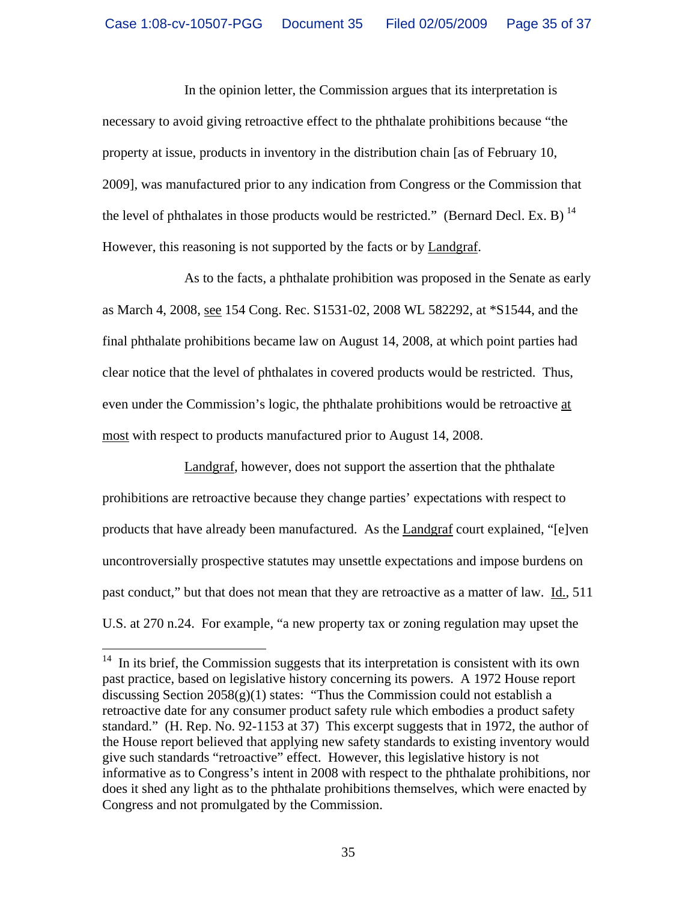In the opinion letter, the Commission argues that its interpretation is necessary to avoid giving retroactive effect to the phthalate prohibitions because "the property at issue, products in inventory in the distribution chain [as of February 10, 2009], was manufactured prior to any indication from Congress or the Commission that the level of phthalates in those products would be restricted." (Bernard Decl. Ex. B)  $^{14}$  $^{14}$  $^{14}$ However, this reasoning is not supported by the facts or by Landgraf.

As to the facts, a phthalate prohibition was proposed in the Senate as early as March 4, 2008, see 154 Cong. Rec. S1531-02, 2008 WL 582292, at \*S1544, and the final phthalate prohibitions became law on August 14, 2008, at which point parties had clear notice that the level of phthalates in covered products would be restricted. Thus, even under the Commission's logic, the phthalate prohibitions would be retroactive at most with respect to products manufactured prior to August 14, 2008.

Landgraf, however, does not support the assertion that the phthalate prohibitions are retroactive because they change parties' expectations with respect to products that have already been manufactured. As the **Landgraf** court explained, "[e]ven uncontroversially prospective statutes may unsettle expectations and impose burdens on past conduct," but that does not mean that they are retroactive as a matter of law. Id., 511 U.S. at 270 n.24. For example, "a new property tax or zoning regulation may upset the

<span id="page-34-0"></span> $14$  In its brief, the Commission suggests that its interpretation is consistent with its own past practice, based on legislative history concerning its powers. A 1972 House report discussing Section  $2058(g)(1)$  states: "Thus the Commission could not establish a retroactive date for any consumer product safety rule which embodies a product safety standard." (H. Rep. No. 92-1153 at 37) This excerpt suggests that in 1972, the author of the House report believed that applying new safety standards to existing inventory would give such standards "retroactive" effect. However, this legislative history is not informative as to Congress's intent in 2008 with respect to the phthalate prohibitions, nor does it shed any light as to the phthalate prohibitions themselves, which were enacted by Congress and not promulgated by the Commission.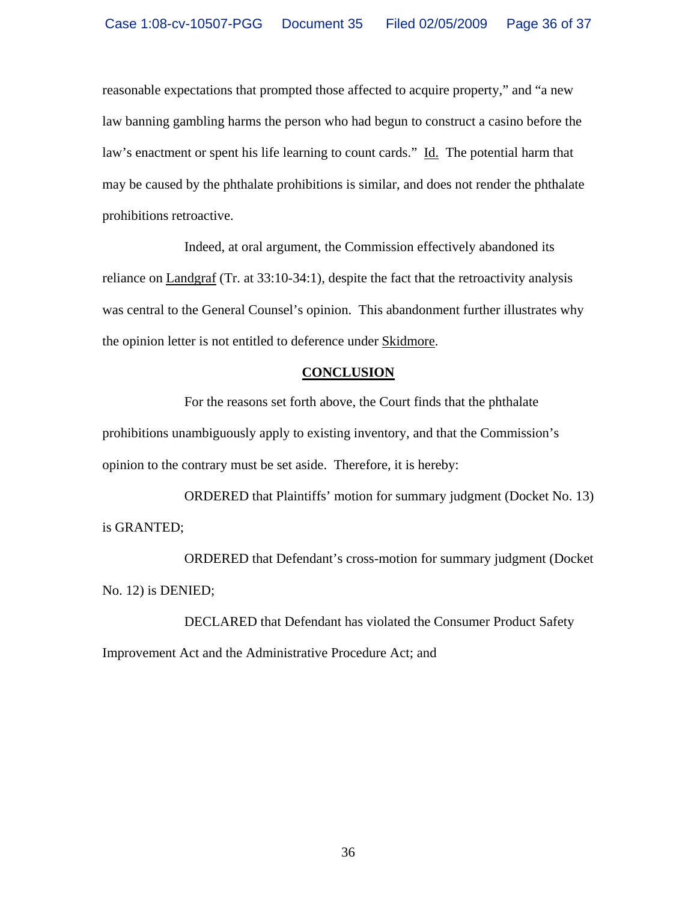reasonable expectations that prompted those affected to acquire property," and "a new law banning gambling harms the person who had begun to construct a casino before the law's enactment or spent his life learning to count cards." Id. The potential harm that may be caused by the phthalate prohibitions is similar, and does not render the phthalate prohibitions retroactive.

Indeed, at oral argument, the Commission effectively abandoned its reliance on Landgraf (Tr. at 33:10-34:1), despite the fact that the retroactivity analysis was central to the General Counsel's opinion. This abandonment further illustrates why the opinion letter is not entitled to deference under Skidmore.

#### **CONCLUSION**

For the reasons set forth above, the Court finds that the phthalate prohibitions unambiguously apply to existing inventory, and that the Commission's opinion to the contrary must be set aside. Therefore, it is hereby:

ORDERED that Plaintiffs' motion for summary judgment (Docket No. 13) is GRANTED;

ORDERED that Defendant's cross-motion for summary judgment (Docket No. 12) is DENIED;

DECLARED that Defendant has violated the Consumer Product Safety Improvement Act and the Administrative Procedure Act; and